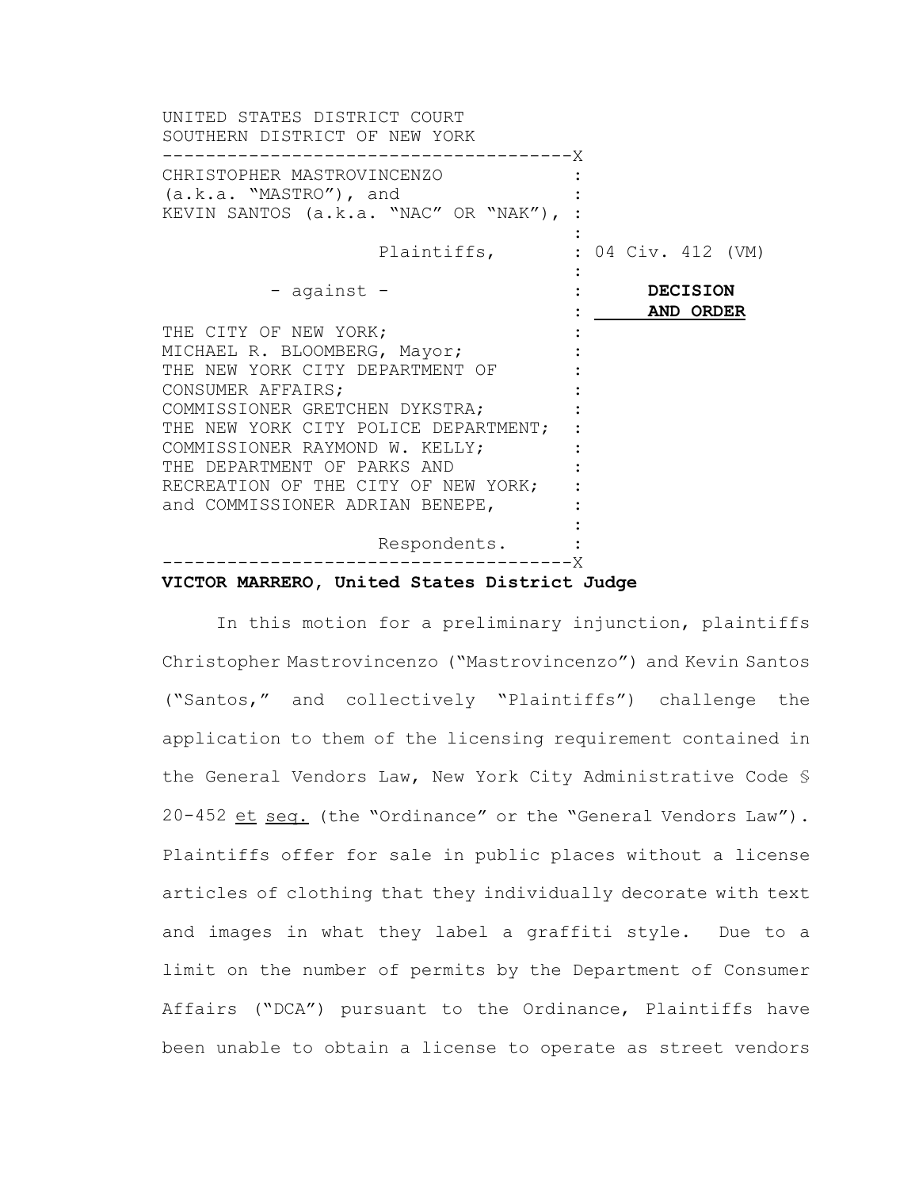| UNITED STATES DISTRICT COURT<br>SOUTHERN DISTRICT OF NEW YORK<br>------------------------X                                                                                                                                                                                                                                         |                              |                    |  |  |
|------------------------------------------------------------------------------------------------------------------------------------------------------------------------------------------------------------------------------------------------------------------------------------------------------------------------------------|------------------------------|--------------------|--|--|
| CHRISTOPHER MASTROVINCENZO<br>$(a.k.a. "MASTRO")$ , and<br>KEVIN SANTOS (a.k.a. "NAC" OR "NAK"),                                                                                                                                                                                                                                   |                              |                    |  |  |
| Plaintiffs,                                                                                                                                                                                                                                                                                                                        |                              | : 04 Civ. 412 (VM) |  |  |
| - against -                                                                                                                                                                                                                                                                                                                        | <b>DECISION</b><br>AND ORDER |                    |  |  |
| THE CITY OF NEW YORK;<br>MICHAEL R. BLOOMBERG, Mayor;<br>THE NEW YORK CITY DEPARTMENT OF<br>CONSUMER AFFAIRS;<br>COMMISSIONER GRETCHEN DYKSTRA;<br>THE NEW YORK CITY POLICE DEPARTMENT;<br>COMMISSIONER RAYMOND W. KELLY;<br>THE DEPARTMENT OF PARKS AND<br>RECREATION OF THE CITY OF NEW YORK;<br>and COMMISSIONER ADRIAN BENEPE, |                              |                    |  |  |
| Respondents.<br>------------------------X                                                                                                                                                                                                                                                                                          |                              |                    |  |  |
|                                                                                                                                                                                                                                                                                                                                    |                              |                    |  |  |

# **VICTOR MARRERO, United States District Judge**

In this motion for a preliminary injunction, plaintiffs Christopher Mastrovincenzo ("Mastrovincenzo") and Kevin Santos ("Santos," and collectively "Plaintiffs") challenge the application to them of the licensing requirement contained in the General Vendors Law, New York City Administrative Code § 20-452 et seq. (the "Ordinance" or the "General Vendors Law"). Plaintiffs offer for sale in public places without a license articles of clothing that they individually decorate with text and images in what they label a graffiti style. Due to a limit on the number of permits by the Department of Consumer Affairs ("DCA") pursuant to the Ordinance, Plaintiffs have been unable to obtain a license to operate as street vendors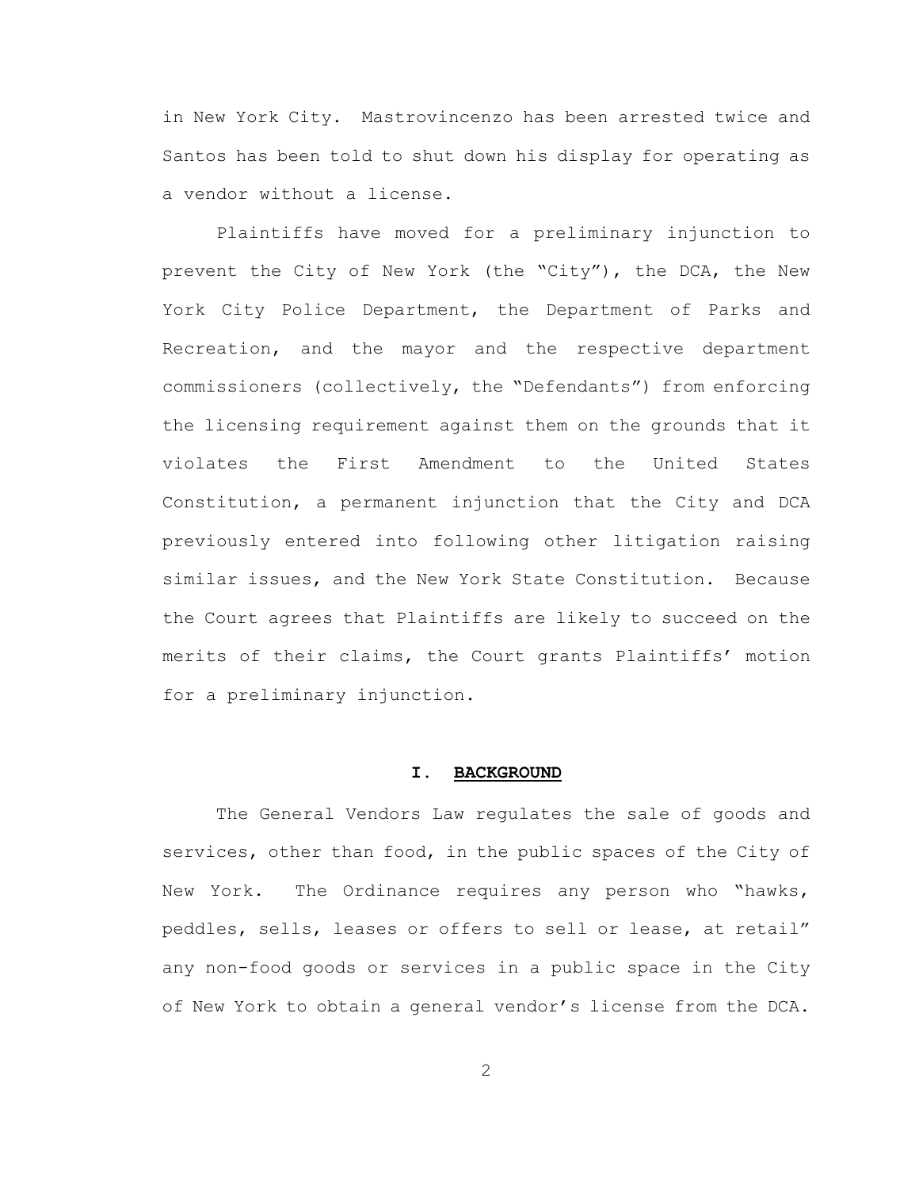in New York City. Mastrovincenzo has been arrested twice and Santos has been told to shut down his display for operating as a vendor without a license.

Plaintiffs have moved for a preliminary injunction to prevent the City of New York (the "City"), the DCA, the New York City Police Department, the Department of Parks and Recreation, and the mayor and the respective department commissioners (collectively, the "Defendants") from enforcing the licensing requirement against them on the grounds that it violates the First Amendment to the United States Constitution, a permanent injunction that the City and DCA previously entered into following other litigation raising similar issues, and the New York State Constitution. Because the Court agrees that Plaintiffs are likely to succeed on the merits of their claims, the Court grants Plaintiffs' motion for a preliminary injunction.

#### **I. BACKGROUND**

The General Vendors Law regulates the sale of goods and services, other than food, in the public spaces of the City of New York. The Ordinance requires any person who "hawks, peddles, sells, leases or offers to sell or lease, at retail" any non-food goods or services in a public space in the City of New York to obtain a general vendor's license from the DCA.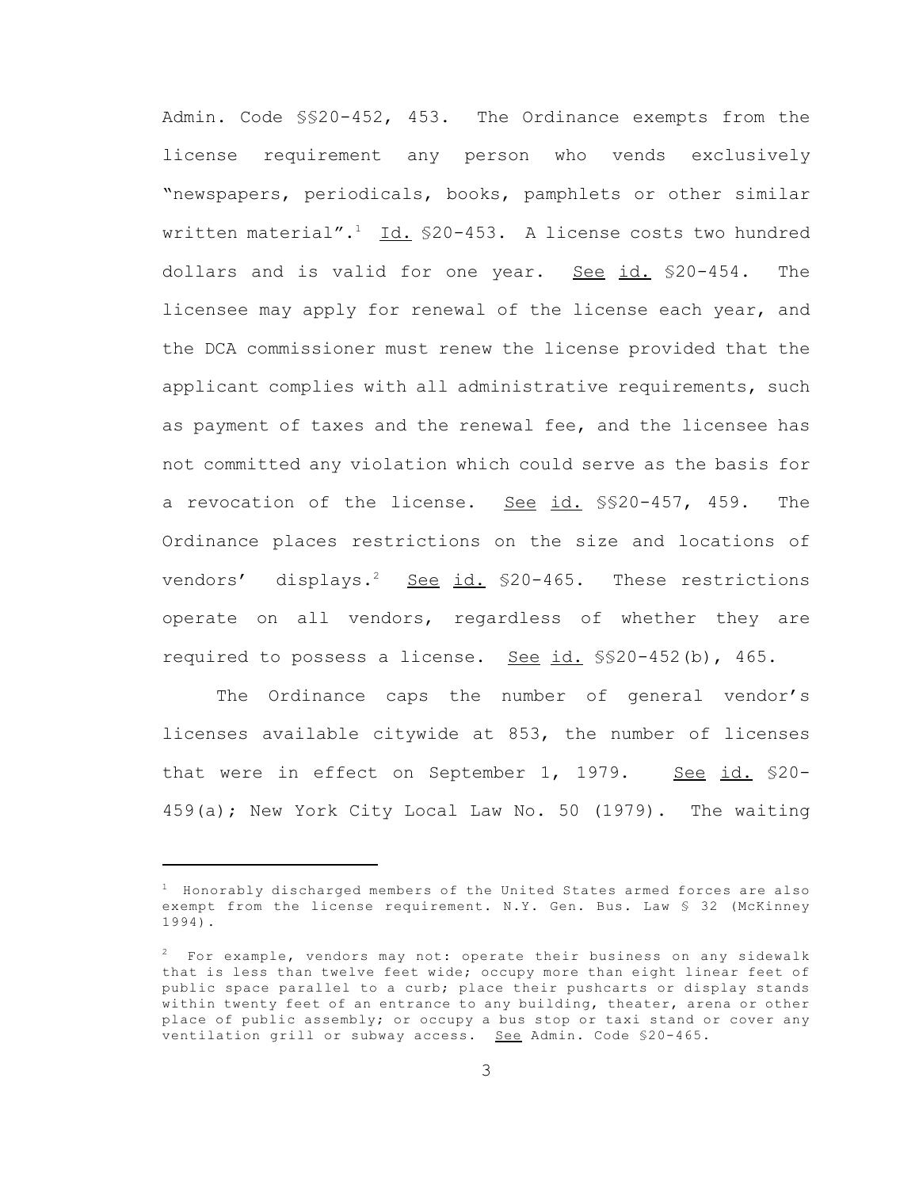Admin. Code §§20-452, 453. The Ordinance exempts from the license requirement any person who vends exclusively "newspapers, periodicals, books, pamphlets or other similar written material".<sup>1</sup> Id.  $$20-453$ . A license costs two hundred dollars and is valid for one year. See id. \$20-454. The licensee may apply for renewal of the license each year, and the DCA commissioner must renew the license provided that the applicant complies with all administrative requirements, such as payment of taxes and the renewal fee, and the licensee has not committed any violation which could serve as the basis for a revocation of the license. See id. \$\$20-457, 459. The Ordinance places restrictions on the size and locations of vendors' displays.<sup>2</sup> See id.  $$20-465$ . These restrictions operate on all vendors, regardless of whether they are required to possess a license. See id.  $$$20-452(b)$ , 465.

The Ordinance caps the number of general vendor's licenses available citywide at 853, the number of licenses that were in effect on September 1, 1979. See id. \$20-459(a); New York City Local Law No. 50 (1979). The waiting

<sup>1</sup> Honorably discharged members of the United States armed forces are also exempt from the license requirement. N.Y. Gen. Bus. Law § 32 (McKinney 1994).

 $2$  For example, vendors may not: operate their business on any sidewalk that is less than twelve feet wide; occupy more than eight linear feet of public space parallel to a curb; place their pushcarts or display stands within twenty feet of an entrance to any building, theater, arena or other place of public assembly; or occupy a bus stop or taxi stand or cover any ventilation grill or subway access. See Admin. Code \$20-465.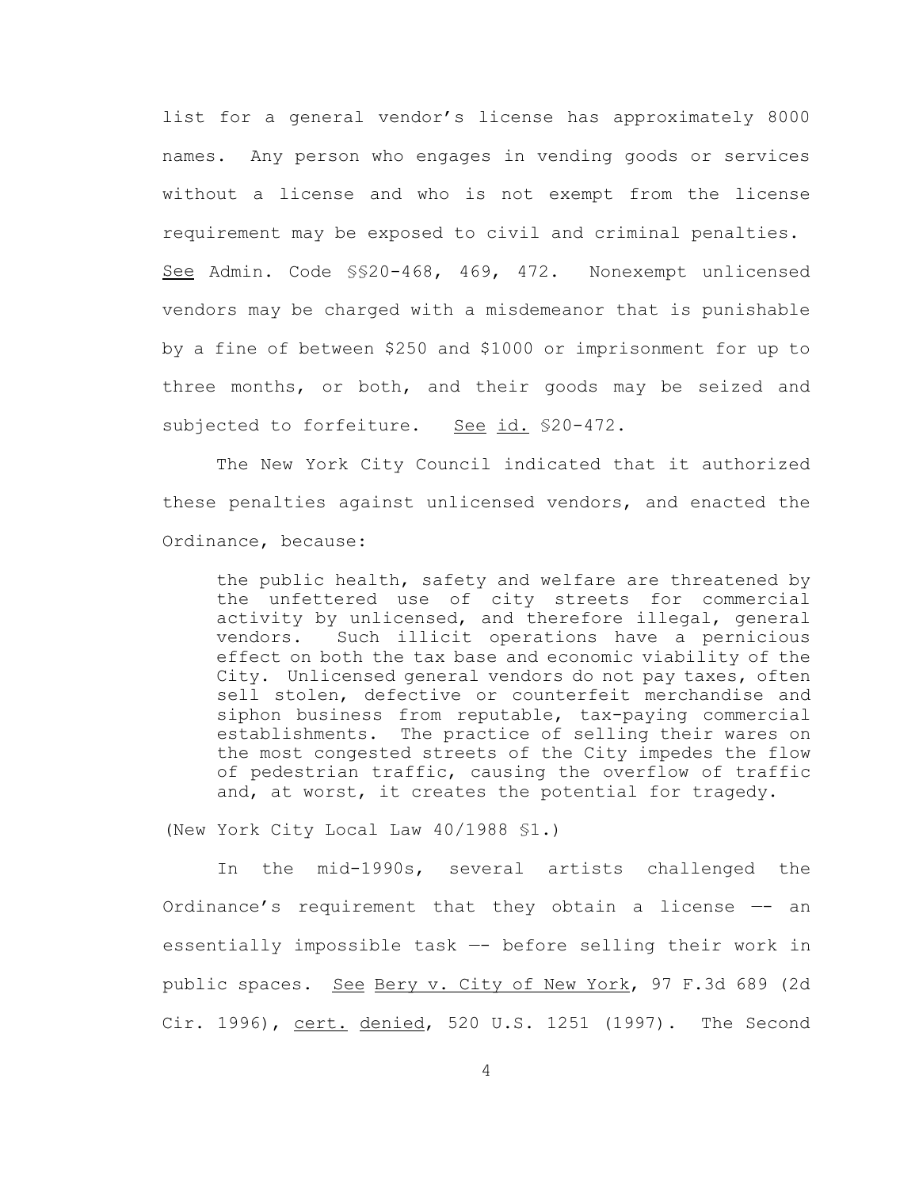list for a general vendor's license has approximately 8000 names. Any person who engages in vending goods or services without a license and who is not exempt from the license requirement may be exposed to civil and criminal penalties. See Admin. Code §§20-468, 469, 472. Nonexempt unlicensed vendors may be charged with a misdemeanor that is punishable by a fine of between \$250 and \$1000 or imprisonment for up to three months, or both, and their goods may be seized and subjected to forfeiture. See id. \$20-472.

The New York City Council indicated that it authorized these penalties against unlicensed vendors, and enacted the Ordinance, because:

the public health, safety and welfare are threatened by the unfettered use of city streets for commercial activity by unlicensed, and therefore illegal, general vendors. Such illicit operations have a pernicious effect on both the tax base and economic viability of the City. Unlicensed general vendors do not pay taxes, often sell stolen, defective or counterfeit merchandise and siphon business from reputable, tax-paying commercial establishments. The practice of selling their wares on the most congested streets of the City impedes the flow of pedestrian traffic, causing the overflow of traffic and, at worst, it creates the potential for tragedy.

(New York City Local Law 40/1988 §1.)

In the mid-1990s, several artists challenged the Ordinance's requirement that they obtain a license —- an essentially impossible task —- before selling their work in public spaces. See Bery v. City of New York, 97 F.3d 689 (2d Cir. 1996), cert. denied, 520 U.S. 1251 (1997). The Second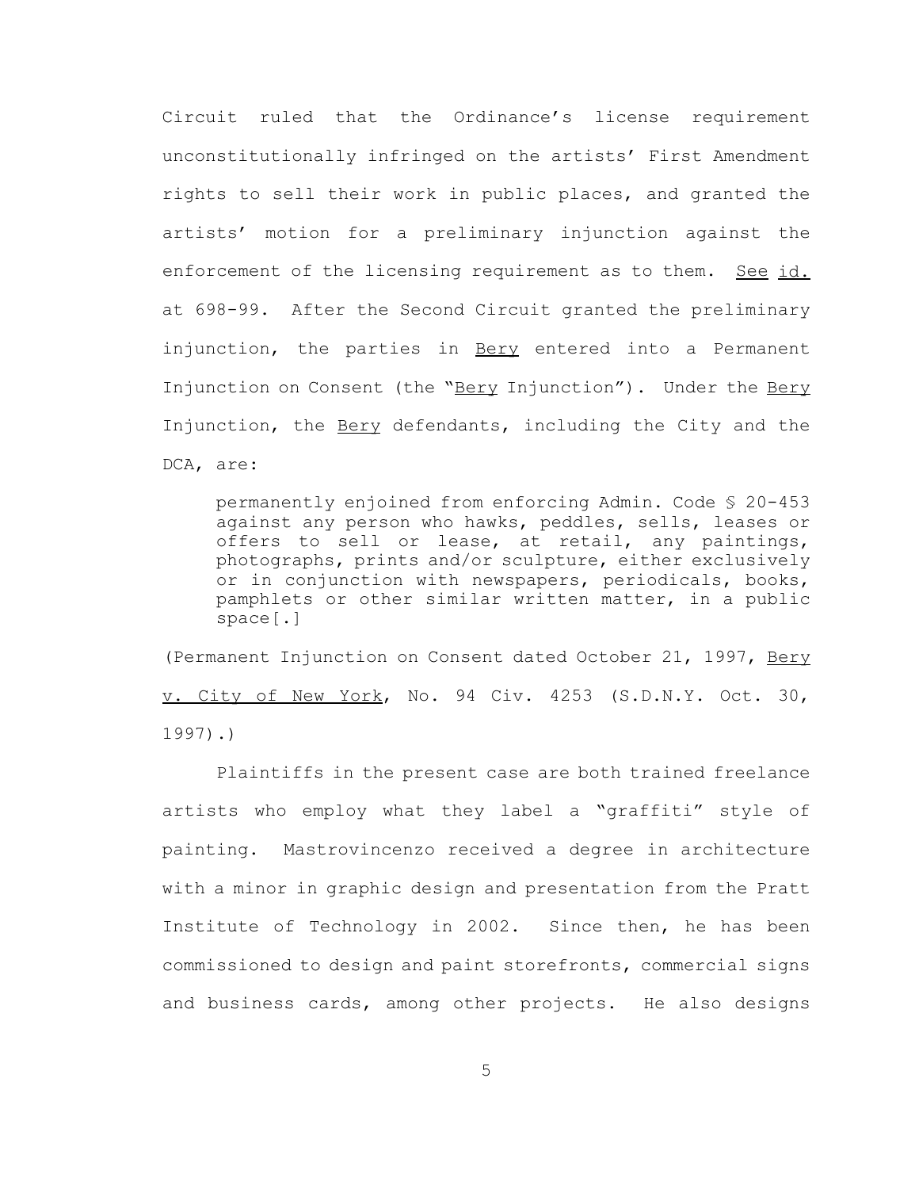Circuit ruled that the Ordinance's license requirement unconstitutionally infringed on the artists' First Amendment rights to sell their work in public places, and granted the artists' motion for a preliminary injunction against the enforcement of the licensing requirement as to them. See id. at 698-99. After the Second Circuit granted the preliminary injunction, the parties in Bery entered into a Permanent Injunction on Consent (the "Bery Injunction"). Under the Bery Injunction, the **Bery** defendants, including the City and the DCA, are:

permanently enjoined from enforcing Admin. Code § 20-453 against any person who hawks, peddles, sells, leases or offers to sell or lease, at retail, any paintings, photographs, prints and/or sculpture, either exclusively or in conjunction with newspapers, periodicals, books, pamphlets or other similar written matter, in a public space[.]

(Permanent Injunction on Consent dated October 21, 1997, Bery v. City of New York, No. 94 Civ. 4253 (S.D.N.Y. Oct. 30, 1997).)

Plaintiffs in the present case are both trained freelance artists who employ what they label a "graffiti" style of painting. Mastrovincenzo received a degree in architecture with a minor in graphic design and presentation from the Pratt Institute of Technology in 2002. Since then, he has been commissioned to design and paint storefronts, commercial signs and business cards, among other projects. He also designs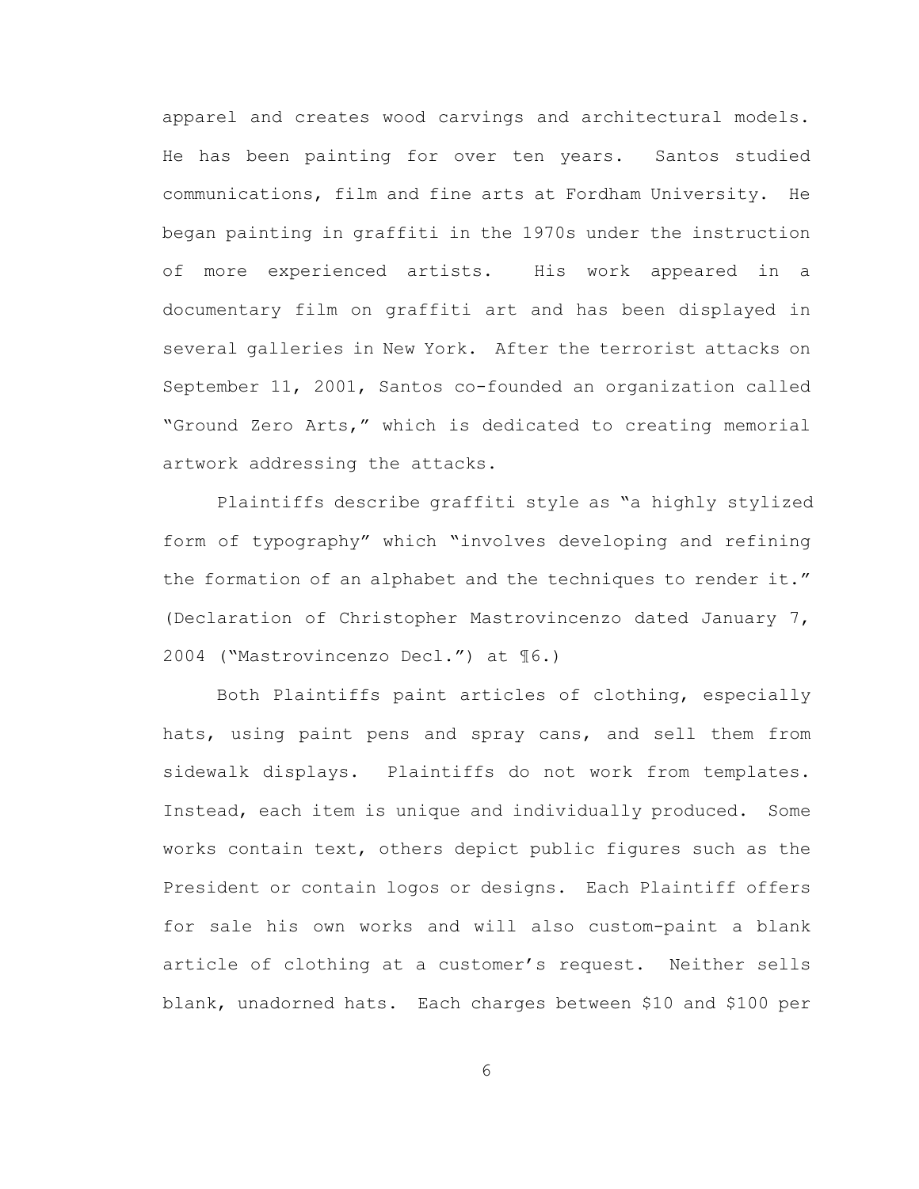apparel and creates wood carvings and architectural models. He has been painting for over ten years. Santos studied communications, film and fine arts at Fordham University. He began painting in graffiti in the 1970s under the instruction of more experienced artists. His work appeared in a documentary film on graffiti art and has been displayed in several galleries in New York. After the terrorist attacks on September 11, 2001, Santos co-founded an organization called "Ground Zero Arts," which is dedicated to creating memorial artwork addressing the attacks.

 Plaintiffs describe graffiti style as "a highly stylized form of typography" which "involves developing and refining the formation of an alphabet and the techniques to render it." (Declaration of Christopher Mastrovincenzo dated January 7, 2004 ("Mastrovincenzo Decl.") at ¶6.)

Both Plaintiffs paint articles of clothing, especially hats, using paint pens and spray cans, and sell them from sidewalk displays. Plaintiffs do not work from templates. Instead, each item is unique and individually produced. Some works contain text, others depict public figures such as the President or contain logos or designs. Each Plaintiff offers for sale his own works and will also custom-paint a blank article of clothing at a customer's request. Neither sells blank, unadorned hats. Each charges between \$10 and \$100 per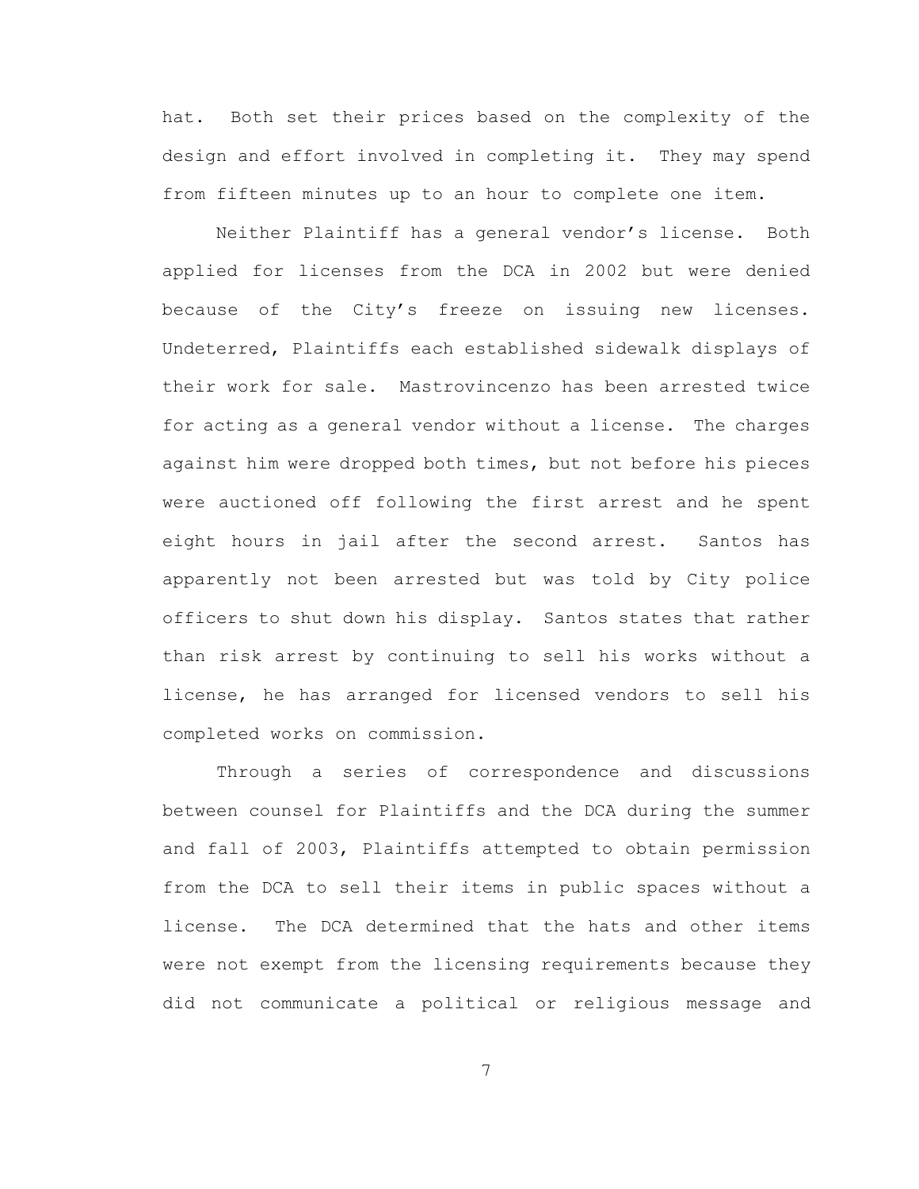hat. Both set their prices based on the complexity of the design and effort involved in completing it. They may spend from fifteen minutes up to an hour to complete one item.

Neither Plaintiff has a general vendor's license. Both applied for licenses from the DCA in 2002 but were denied because of the City's freeze on issuing new licenses. Undeterred, Plaintiffs each established sidewalk displays of their work for sale. Mastrovincenzo has been arrested twice for acting as a general vendor without a license. The charges against him were dropped both times, but not before his pieces were auctioned off following the first arrest and he spent eight hours in jail after the second arrest. Santos has apparently not been arrested but was told by City police officers to shut down his display. Santos states that rather than risk arrest by continuing to sell his works without a license, he has arranged for licensed vendors to sell his completed works on commission.

Through a series of correspondence and discussions between counsel for Plaintiffs and the DCA during the summer and fall of 2003, Plaintiffs attempted to obtain permission from the DCA to sell their items in public spaces without a license. The DCA determined that the hats and other items were not exempt from the licensing requirements because they did not communicate a political or religious message and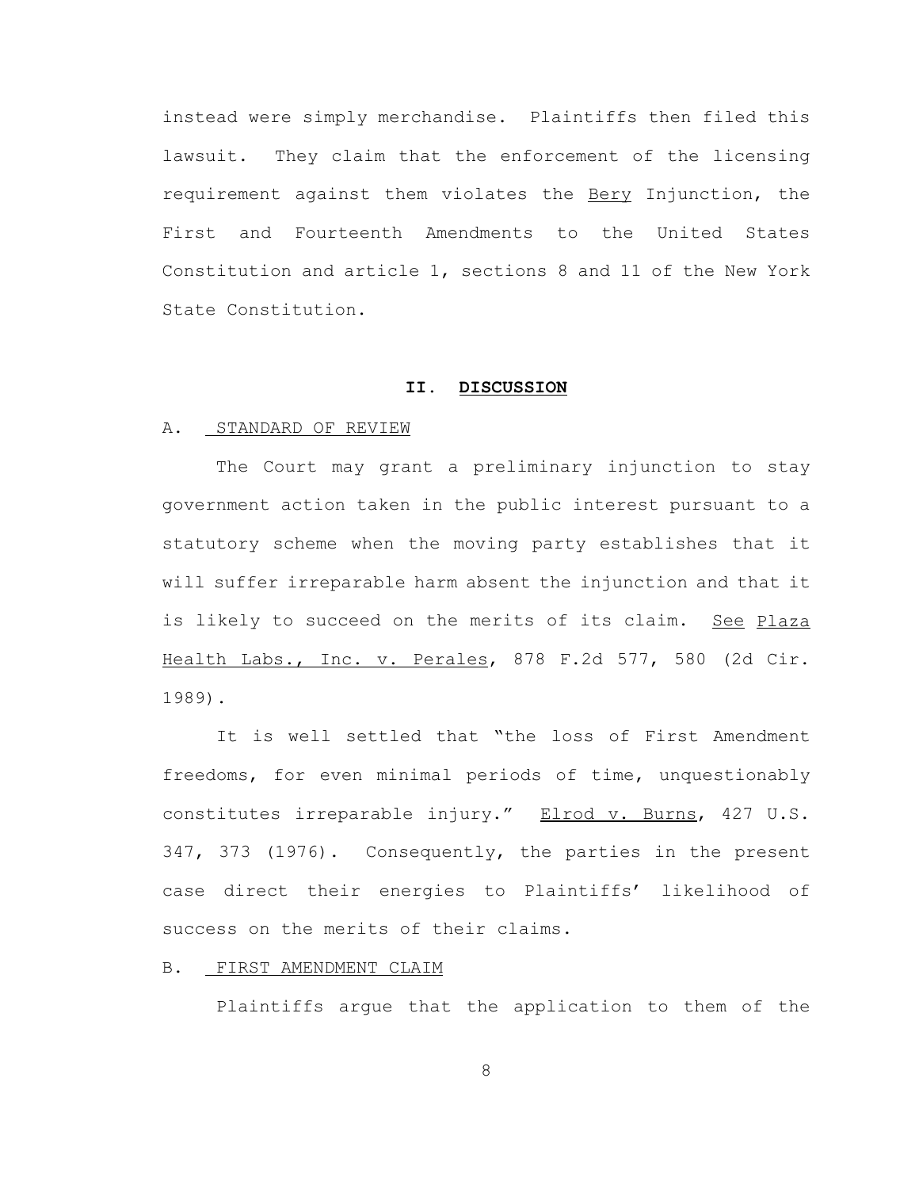instead were simply merchandise. Plaintiffs then filed this lawsuit. They claim that the enforcement of the licensing requirement against them violates the Bery Injunction, the First and Fourteenth Amendments to the United States Constitution and article 1, sections 8 and 11 of the New York State Constitution.

## **II. DISCUSSION**

#### A. STANDARD OF REVIEW

The Court may grant a preliminary injunction to stay government action taken in the public interest pursuant to a statutory scheme when the moving party establishes that it will suffer irreparable harm absent the injunction and that it is likely to succeed on the merits of its claim. See Plaza Health Labs., Inc. v. Perales, 878 F.2d 577, 580 (2d Cir. 1989).

It is well settled that "the loss of First Amendment freedoms, for even minimal periods of time, unquestionably constitutes irreparable injury." Elrod v. Burns, 427 U.S. 347, 373 (1976). Consequently, the parties in the present case direct their energies to Plaintiffs' likelihood of success on the merits of their claims.

### B. FIRST AMENDMENT CLAIM

Plaintiffs argue that the application to them of the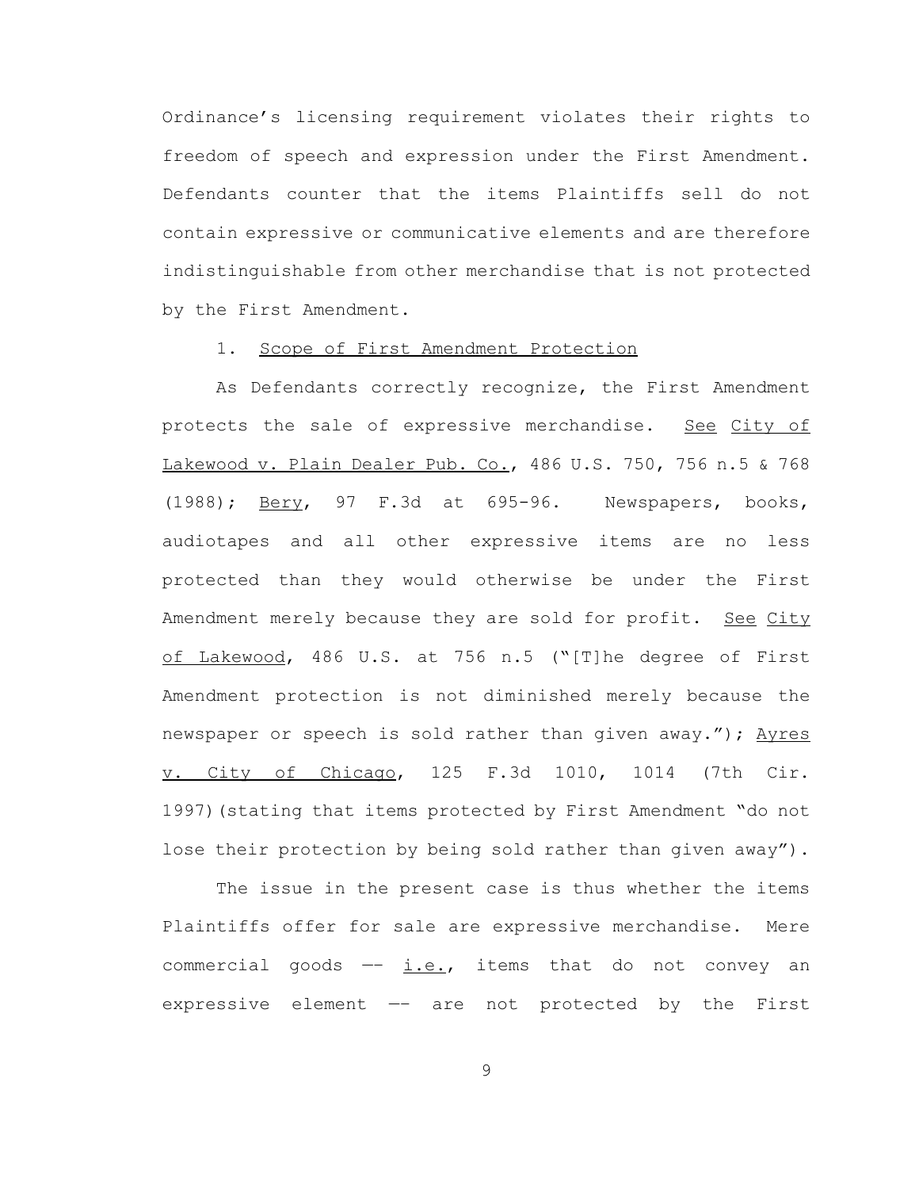Ordinance's licensing requirement violates their rights to freedom of speech and expression under the First Amendment. Defendants counter that the items Plaintiffs sell do not contain expressive or communicative elements and are therefore indistinguishable from other merchandise that is not protected by the First Amendment.

#### 1. Scope of First Amendment Protection

As Defendants correctly recognize, the First Amendment protects the sale of expressive merchandise. See City of Lakewood v. Plain Dealer Pub. Co., 486 U.S. 750, 756 n.5 & 768 (1988); Bery, 97 F.3d at 695-96. Newspapers, books, audiotapes and all other expressive items are no less protected than they would otherwise be under the First Amendment merely because they are sold for profit. See City of Lakewood, 486 U.S. at 756 n.5 ("[T]he degree of First Amendment protection is not diminished merely because the newspaper or speech is sold rather than given away."); Ayres v. City of Chicago, 125 F.3d 1010, 1014 (7th Cir. 1997)(stating that items protected by First Amendment "do not lose their protection by being sold rather than given away").

The issue in the present case is thus whether the items Plaintiffs offer for sale are expressive merchandise. Mere commercial goods  $-$  i.e., items that do not convey an expressive element —– are not protected by the First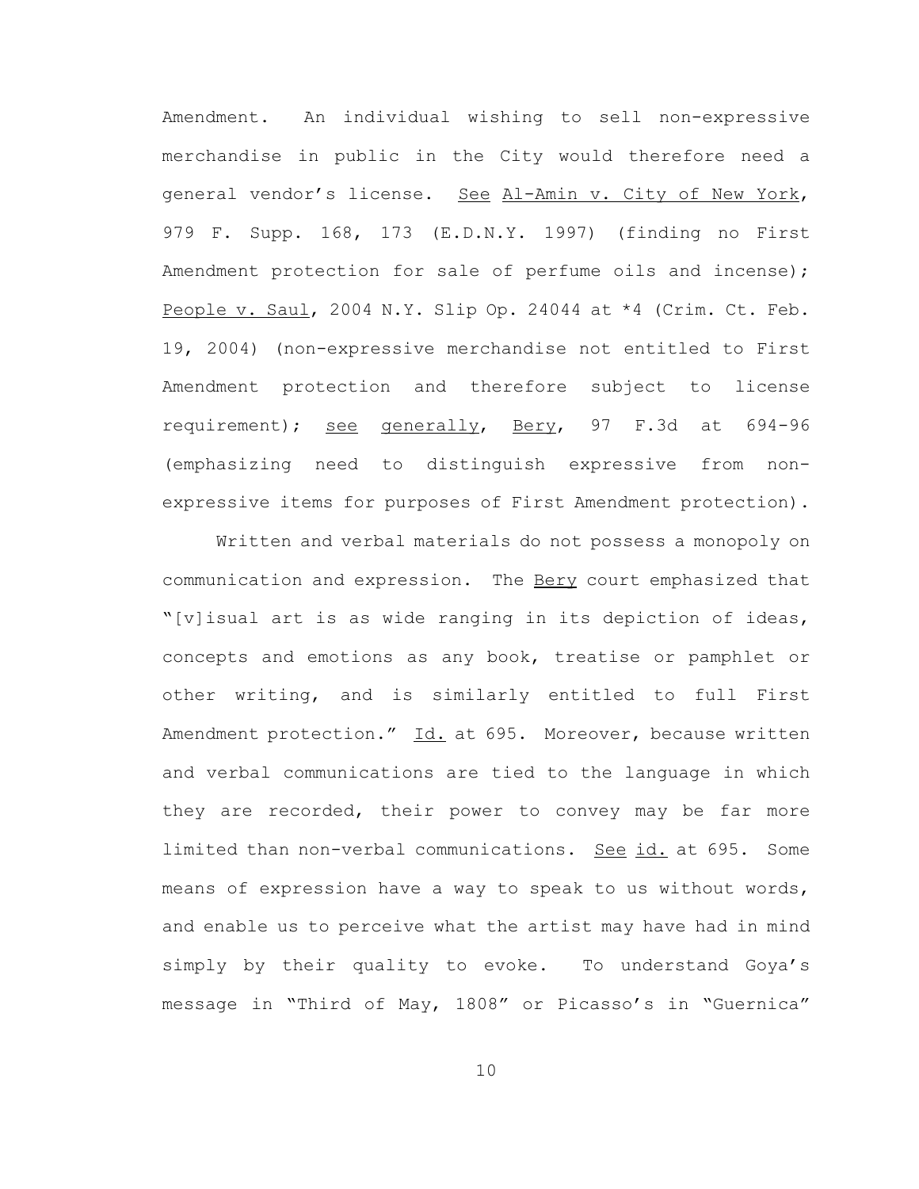Amendment. An individual wishing to sell non-expressive merchandise in public in the City would therefore need a general vendor's license. See Al-Amin v. City of New York, 979 F. Supp. 168, 173 (E.D.N.Y. 1997) (finding no First Amendment protection for sale of perfume oils and incense); People v. Saul, 2004 N.Y. Slip Op. 24044 at \*4 (Crim. Ct. Feb. 19, 2004) (non-expressive merchandise not entitled to First Amendment protection and therefore subject to license requirement); see generally, Bery, 97 F.3d at 694-96 (emphasizing need to distinguish expressive from nonexpressive items for purposes of First Amendment protection).

Written and verbal materials do not possess a monopoly on communication and expression. The Bery court emphasized that "[v]isual art is as wide ranging in its depiction of ideas, concepts and emotions as any book, treatise or pamphlet or other writing, and is similarly entitled to full First Amendment protection." Id. at 695. Moreover, because written and verbal communications are tied to the language in which they are recorded, their power to convey may be far more limited than non-verbal communications. See id. at 695. Some means of expression have a way to speak to us without words, and enable us to perceive what the artist may have had in mind simply by their quality to evoke. To understand Goya's message in "Third of May, 1808" or Picasso's in "Guernica"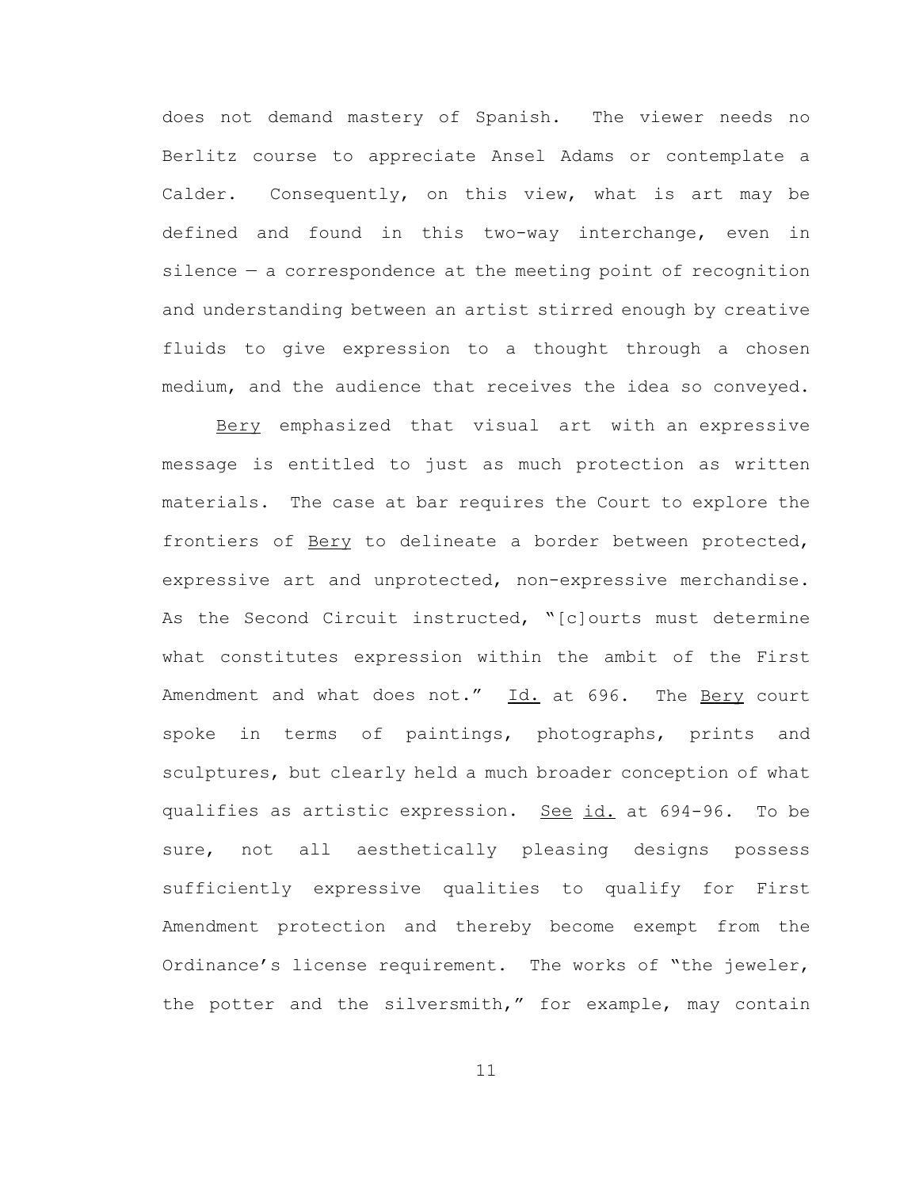does not demand mastery of Spanish. The viewer needs no Berlitz course to appreciate Ansel Adams or contemplate a Calder. Consequently, on this view, what is art may be defined and found in this two-way interchange, even in silence — a correspondence at the meeting point of recognition and understanding between an artist stirred enough by creative fluids to give expression to a thought through a chosen medium, and the audience that receives the idea so conveyed.

Bery emphasized that visual art with an expressive message is entitled to just as much protection as written materials. The case at bar requires the Court to explore the frontiers of Bery to delineate a border between protected, expressive art and unprotected, non-expressive merchandise. As the Second Circuit instructed, "[c]ourts must determine what constitutes expression within the ambit of the First Amendment and what does not." Id. at 696. The Bery court spoke in terms of paintings, photographs, prints and sculptures, but clearly held a much broader conception of what qualifies as artistic expression. See id. at 694-96. To be sure, not all aesthetically pleasing designs possess sufficiently expressive qualities to qualify for First Amendment protection and thereby become exempt from the Ordinance's license requirement. The works of "the jeweler, the potter and the silversmith," for example, may contain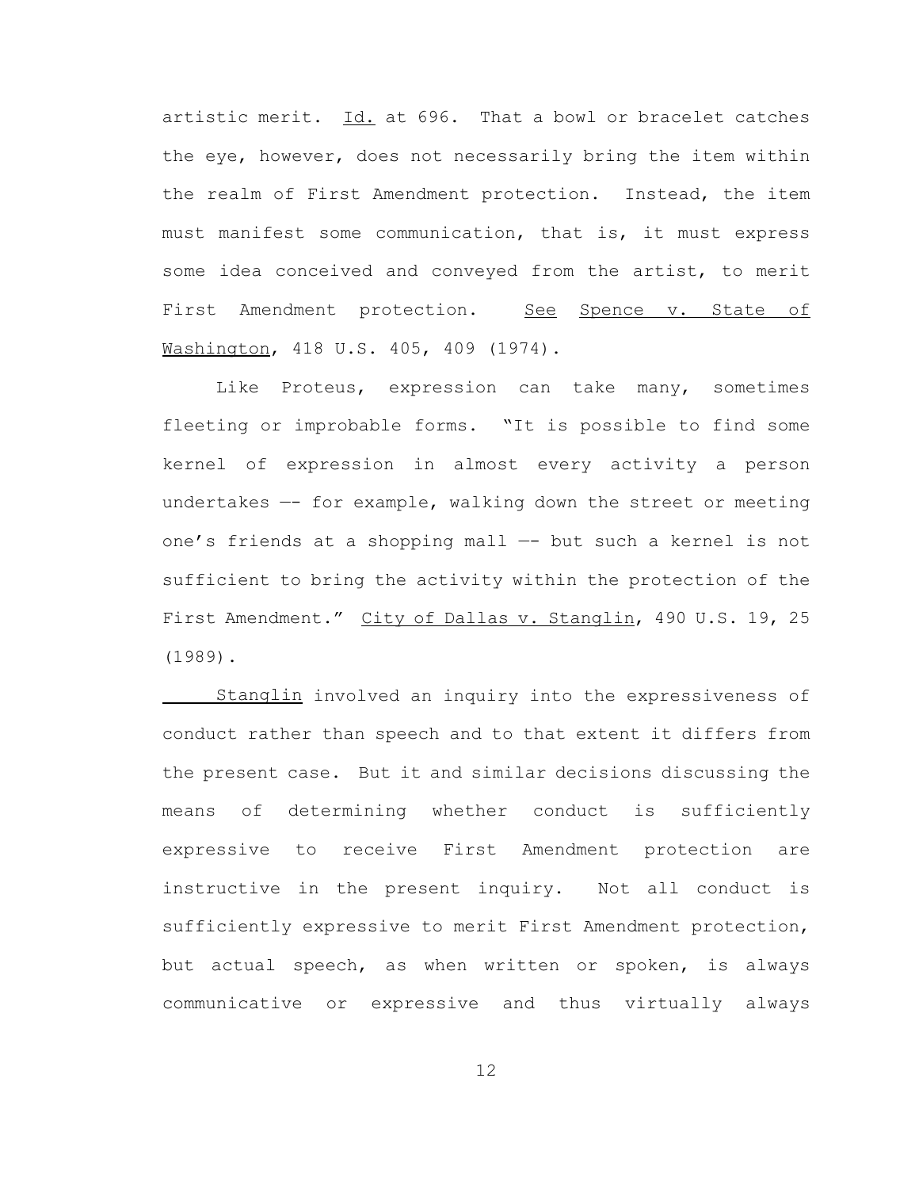artistic merit. Id. at 696. That a bowl or bracelet catches the eye, however, does not necessarily bring the item within the realm of First Amendment protection. Instead, the item must manifest some communication, that is, it must express some idea conceived and conveyed from the artist, to merit First Amendment protection. See Spence v. State of Washington, 418 U.S. 405, 409 (1974).

Like Proteus, expression can take many, sometimes fleeting or improbable forms. "It is possible to find some kernel of expression in almost every activity a person undertakes —- for example, walking down the street or meeting one's friends at a shopping mall —- but such a kernel is not sufficient to bring the activity within the protection of the First Amendment." City of Dallas v. Stanglin, 490 U.S. 19, 25 (1989).

Stanglin involved an inquiry into the expressiveness of conduct rather than speech and to that extent it differs from the present case. But it and similar decisions discussing the means of determining whether conduct is sufficiently expressive to receive First Amendment protection are instructive in the present inquiry. Not all conduct is sufficiently expressive to merit First Amendment protection, but actual speech, as when written or spoken, is always communicative or expressive and thus virtually always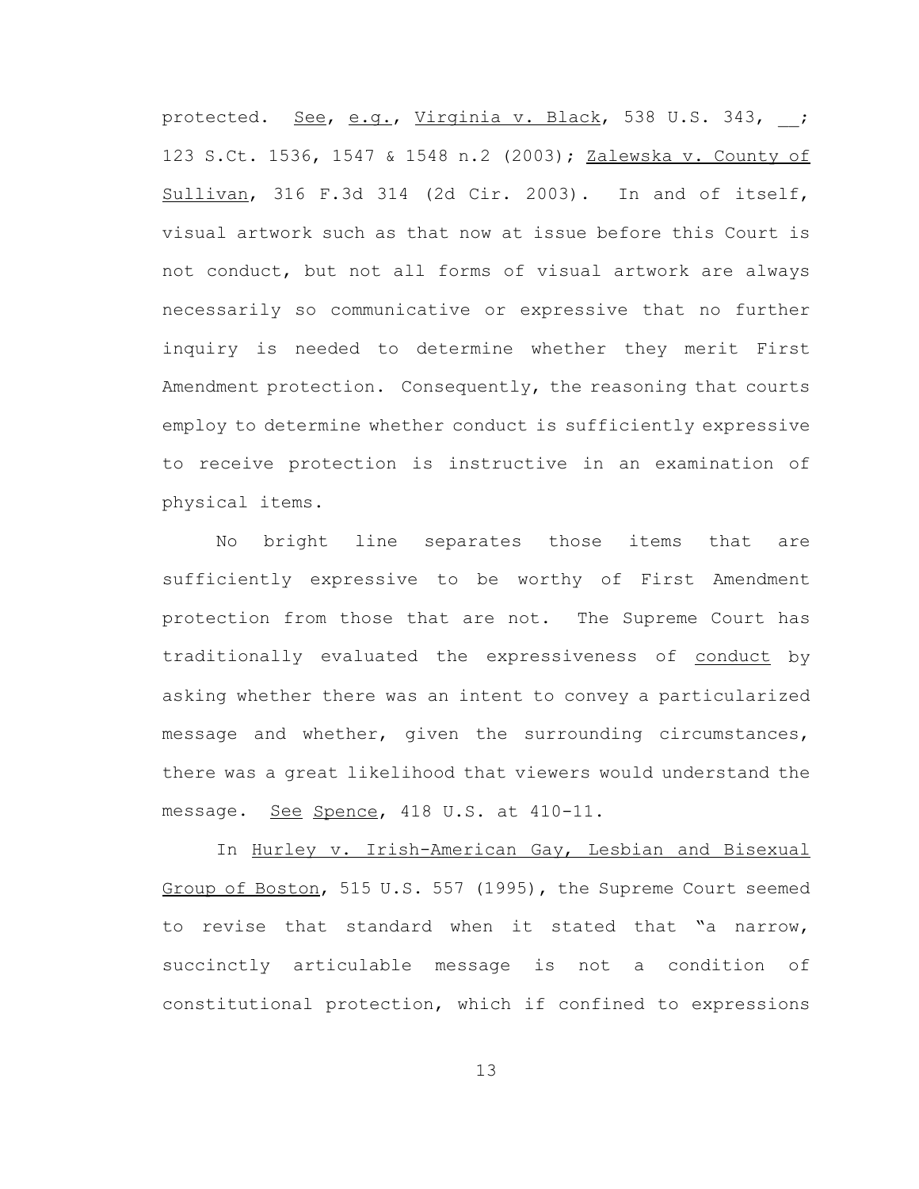protected. See, e.g., Virginia v. Black, 538 U.S. 343, ; 123 S.Ct. 1536, 1547 & 1548 n.2 (2003); Zalewska v. County of Sullivan, 316 F.3d 314 (2d Cir. 2003). In and of itself, visual artwork such as that now at issue before this Court is not conduct, but not all forms of visual artwork are always necessarily so communicative or expressive that no further inquiry is needed to determine whether they merit First Amendment protection. Consequently, the reasoning that courts employ to determine whether conduct is sufficiently expressive to receive protection is instructive in an examination of physical items.

No bright line separates those items that are sufficiently expressive to be worthy of First Amendment protection from those that are not. The Supreme Court has traditionally evaluated the expressiveness of conduct by asking whether there was an intent to convey a particularized message and whether, given the surrounding circumstances, there was a great likelihood that viewers would understand the message. See Spence, 418 U.S. at 410-11.

In Hurley v. Irish-American Gay, Lesbian and Bisexual Group of Boston, 515 U.S. 557 (1995), the Supreme Court seemed to revise that standard when it stated that "a narrow, succinctly articulable message is not a condition of constitutional protection, which if confined to expressions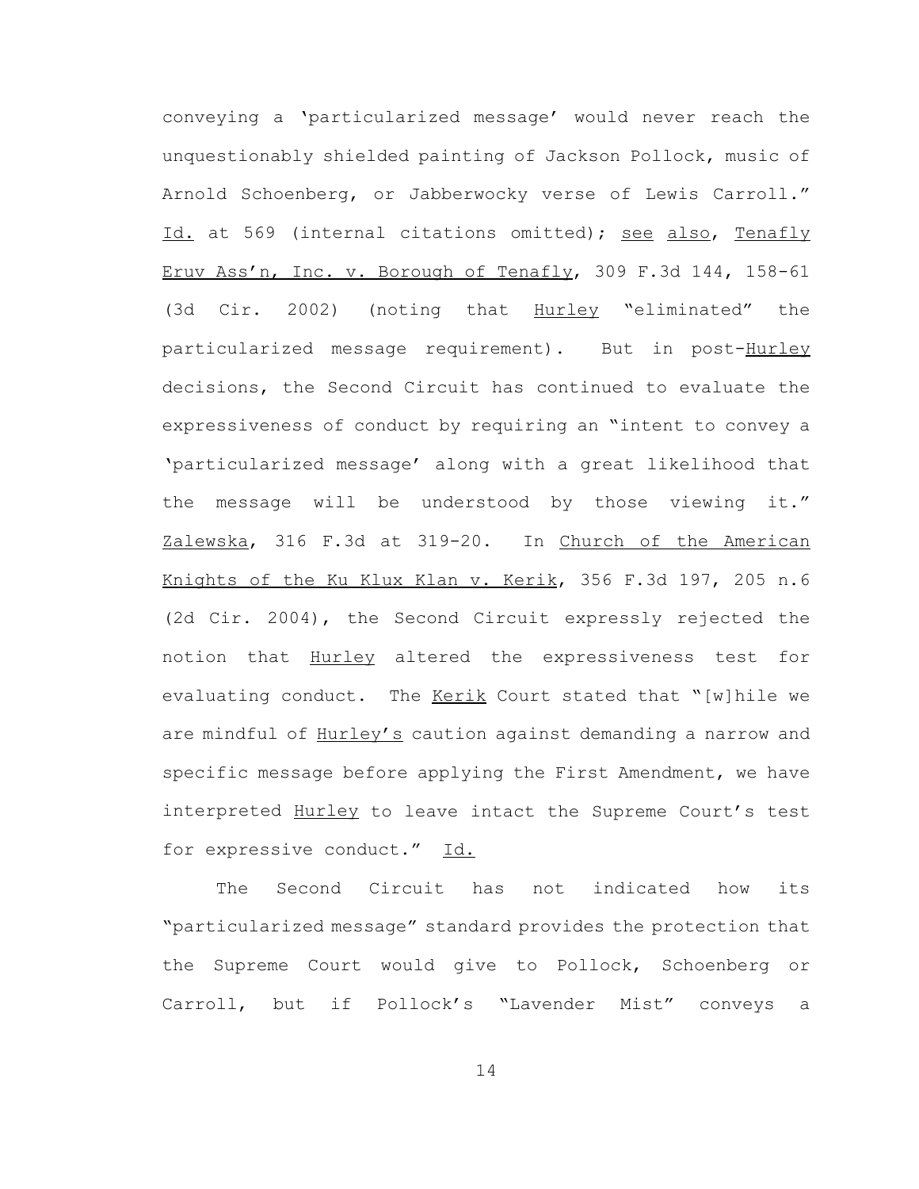conveying a 'particularized message' would never reach the unquestionably shielded painting of Jackson Pollock, music of Arnold Schoenberg, or Jabberwocky verse of Lewis Carroll." Id. at 569 (internal citations omitted); see also, Tenafly Eruv Ass'n, Inc. v. Borough of Tenafly, 309 F.3d 144, 158-61 (3d Cir. 2002) (noting that Hurley "eliminated" the particularized message requirement). But in post-Hurley decisions, the Second Circuit has continued to evaluate the expressiveness of conduct by requiring an "intent to convey a 'particularized message' along with a great likelihood that the message will be understood by those viewing it." Zalewska, 316 F.3d at 319-20. In Church of the American Knights of the Ku Klux Klan v. Kerik, 356 F.3d 197, 205 n.6 (2d Cir. 2004), the Second Circuit expressly rejected the notion that Hurley altered the expressiveness test for evaluating conduct. The Kerik Court stated that "[w]hile we are mindful of Hurley's caution against demanding a narrow and specific message before applying the First Amendment, we have interpreted Hurley to leave intact the Supreme Court's test for expressive conduct." Id.

The Second Circuit has not indicated how its "particularized message" standard provides the protection that the Supreme Court would give to Pollock, Schoenberg or Carroll, but if Pollock's "Lavender Mist" conveys a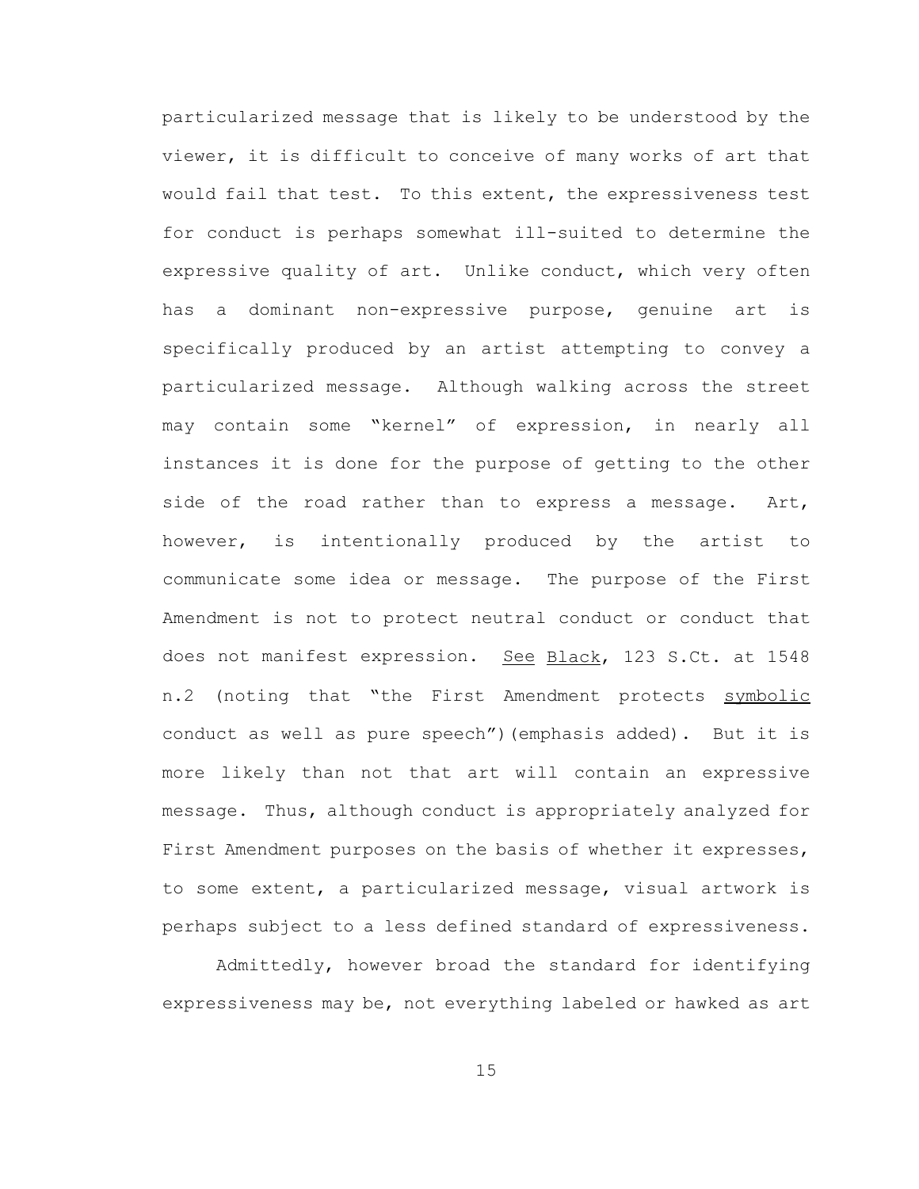particularized message that is likely to be understood by the viewer, it is difficult to conceive of many works of art that would fail that test. To this extent, the expressiveness test for conduct is perhaps somewhat ill-suited to determine the expressive quality of art. Unlike conduct, which very often has a dominant non-expressive purpose, genuine art is specifically produced by an artist attempting to convey a particularized message. Although walking across the street may contain some "kernel" of expression, in nearly all instances it is done for the purpose of getting to the other side of the road rather than to express a message. Art, however, is intentionally produced by the artist to communicate some idea or message. The purpose of the First Amendment is not to protect neutral conduct or conduct that does not manifest expression. See Black, 123 S.Ct. at 1548 n.2 (noting that "the First Amendment protects symbolic conduct as well as pure speech")(emphasis added). But it is more likely than not that art will contain an expressive message. Thus, although conduct is appropriately analyzed for First Amendment purposes on the basis of whether it expresses, to some extent, a particularized message, visual artwork is perhaps subject to a less defined standard of expressiveness.

Admittedly, however broad the standard for identifying expressiveness may be, not everything labeled or hawked as art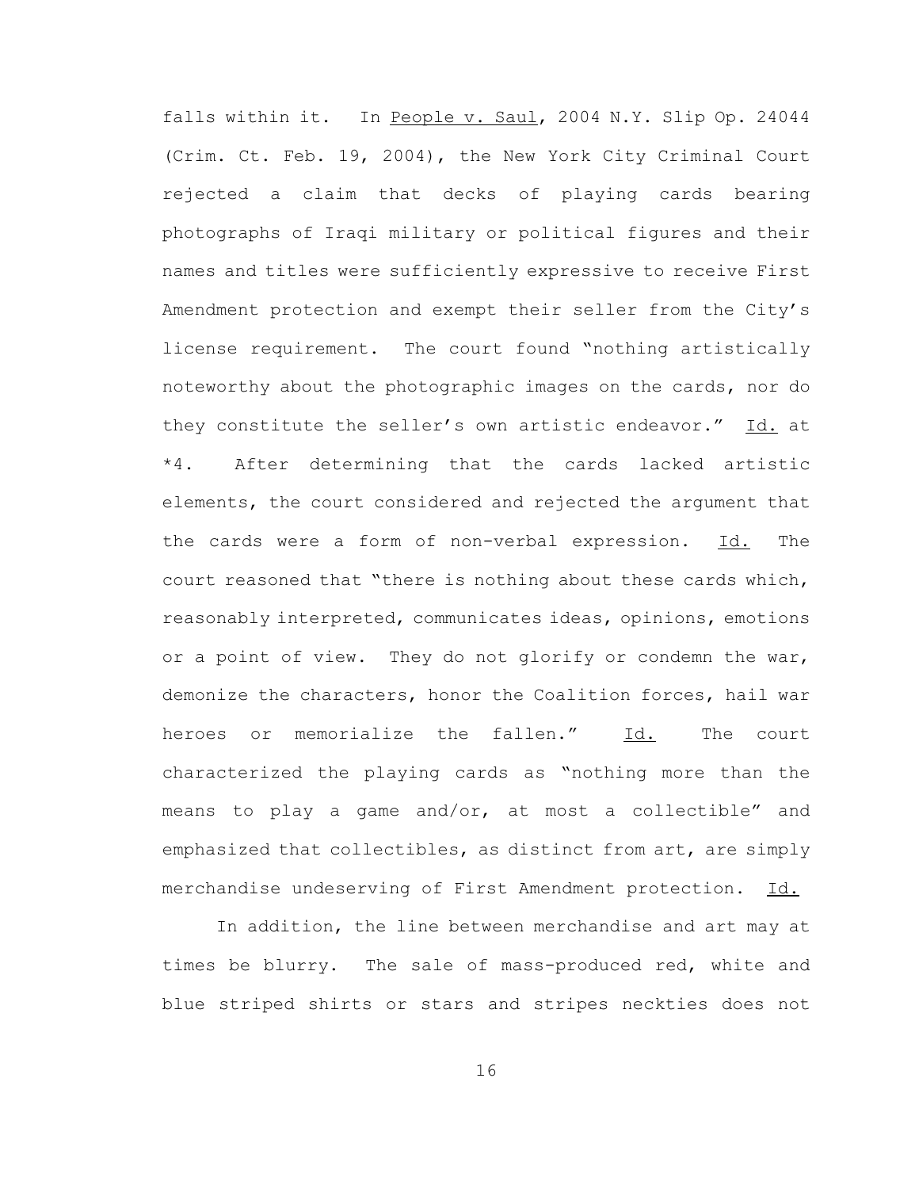falls within it. In People v. Saul, 2004 N.Y. Slip Op. 24044 (Crim. Ct. Feb. 19, 2004), the New York City Criminal Court rejected a claim that decks of playing cards bearing photographs of Iraqi military or political figures and their names and titles were sufficiently expressive to receive First Amendment protection and exempt their seller from the City's license requirement. The court found "nothing artistically noteworthy about the photographic images on the cards, nor do they constitute the seller's own artistic endeavor." Id. at \*4. After determining that the cards lacked artistic elements, the court considered and rejected the argument that the cards were a form of non-verbal expression. Id. The court reasoned that "there is nothing about these cards which, reasonably interpreted, communicates ideas, opinions, emotions or a point of view. They do not glorify or condemn the war, demonize the characters, honor the Coalition forces, hail war heroes or memorialize the fallen." Id. The court characterized the playing cards as "nothing more than the means to play a game and/or, at most a collectible" and emphasized that collectibles, as distinct from art, are simply merchandise undeserving of First Amendment protection. Id.

In addition, the line between merchandise and art may at times be blurry. The sale of mass-produced red, white and blue striped shirts or stars and stripes neckties does not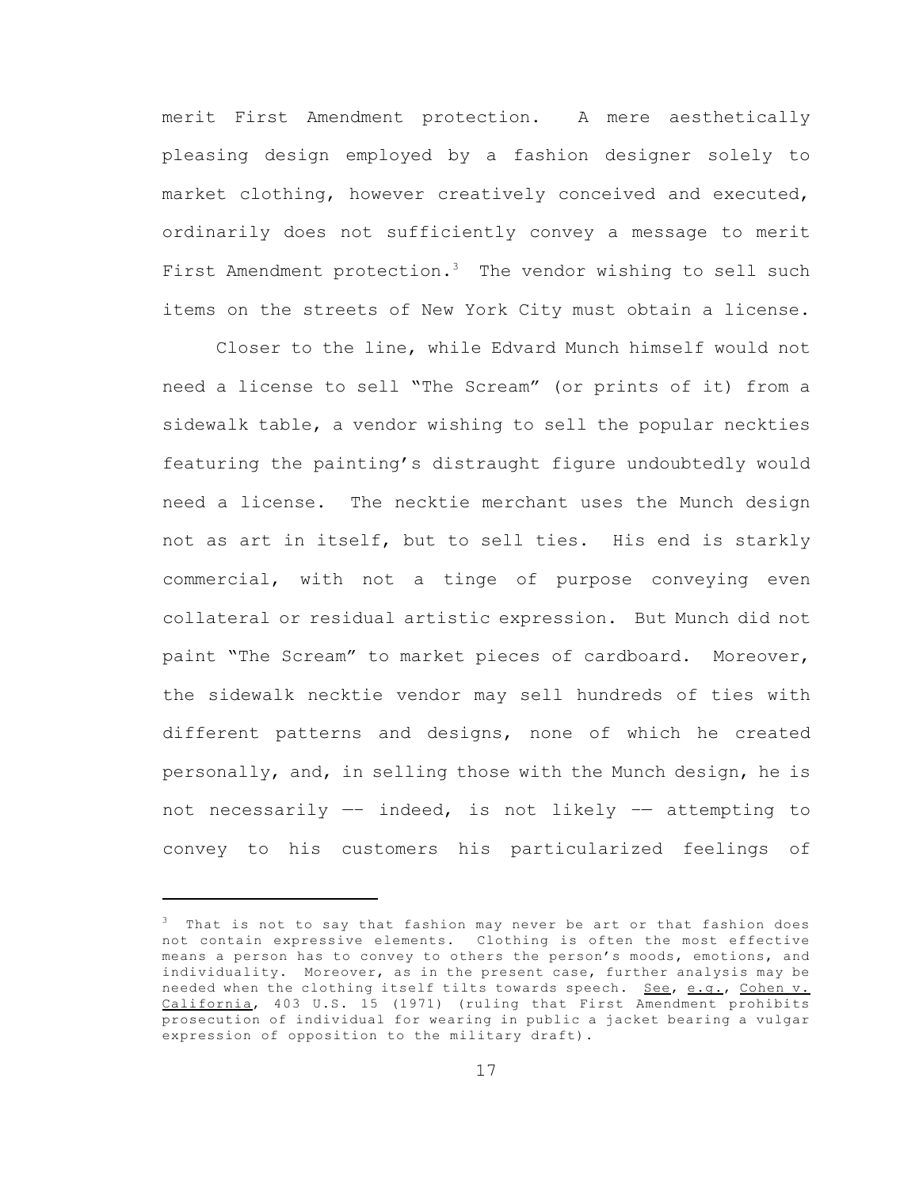merit First Amendment protection. A mere aesthetically pleasing design employed by a fashion designer solely to market clothing, however creatively conceived and executed, ordinarily does not sufficiently convey a message to merit First Amendment protection.<sup>3</sup> The vendor wishing to sell such items on the streets of New York City must obtain a license.

Closer to the line, while Edvard Munch himself would not need a license to sell "The Scream" (or prints of it) from a sidewalk table, a vendor wishing to sell the popular neckties featuring the painting's distraught figure undoubtedly would need a license. The necktie merchant uses the Munch design not as art in itself, but to sell ties. His end is starkly commercial, with not a tinge of purpose conveying even collateral or residual artistic expression. But Munch did not paint "The Scream" to market pieces of cardboard. Moreover, the sidewalk necktie vendor may sell hundreds of ties with different patterns and designs, none of which he created personally, and, in selling those with the Munch design, he is not necessarily —– indeed, is not likely –— attempting to convey to his customers his particularized feelings of

 $3$  That is not to say that fashion may never be art or that fashion does not contain expressive elements. Clothing is often the most effective means a person has to convey to others the person's moods, emotions, and individuality. Moreover, as in the present case, further analysis may be needed when the clothing itself tilts towards speech. See, e.g., Cohen v. California, 403 U.S. 15 (1971) (ruling that First Amendment prohibits prosecution of individual for wearing in public a jacket bearing a vulgar expression of opposition to the military draft).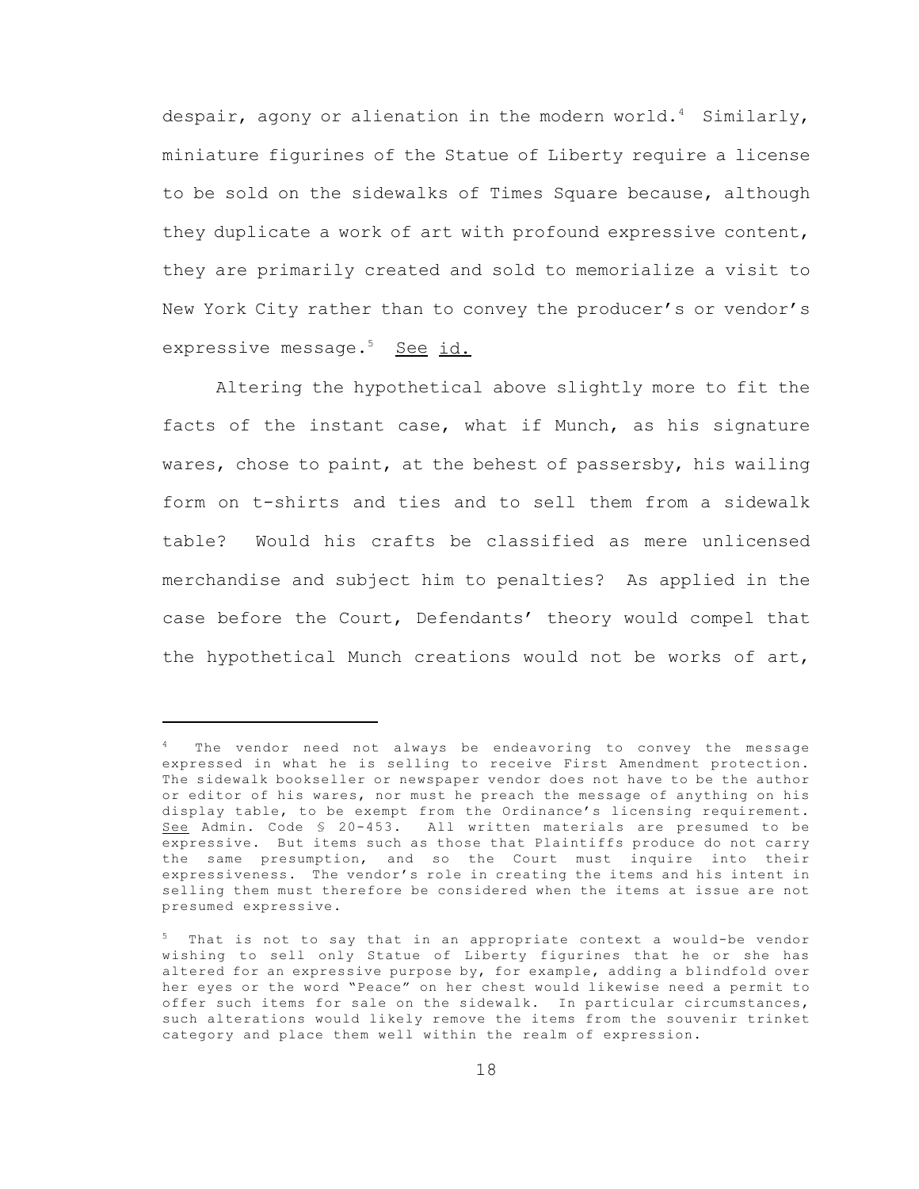despair, agony or alienation in the modern world.<sup>4</sup> Similarly, miniature figurines of the Statue of Liberty require a license to be sold on the sidewalks of Times Square because, although they duplicate a work of art with profound expressive content, they are primarily created and sold to memorialize a visit to New York City rather than to convey the producer's or vendor's expressive message.<sup>5</sup> See id.

Altering the hypothetical above slightly more to fit the facts of the instant case, what if Munch, as his signature wares, chose to paint, at the behest of passersby, his wailing form on t-shirts and ties and to sell them from a sidewalk table? Would his crafts be classified as mere unlicensed merchandise and subject him to penalties? As applied in the case before the Court, Defendants' theory would compel that the hypothetical Munch creations would not be works of art,

The vendor need not always be endeavoring to convey the message expressed in what he is selling to receive First Amendment protection. The sidewalk bookseller or newspaper vendor does not have to be the author or editor of his wares, nor must he preach the message of anything on his display table, to be exempt from the Ordinance's licensing requirement. See Admin. Code § 20-453. All written materials are presumed to be expressive. But items such as those that Plaintiffs produce do not carry the same presumption, and so the Court must inquire into their expressiveness. The vendor's role in creating the items and his intent in selling them must therefore be considered when the items at issue are not presumed expressive.

<sup>&</sup>lt;sup>5</sup> That is not to say that in an appropriate context a would-be vendor wishing to sell only Statue of Liberty figurines that he or she has altered for an expressive purpose by, for example, adding a blindfold over her eyes or the word "Peace" on her chest would likewise need a permit to offer such items for sale on the sidewalk. In particular circumstances, such alterations would likely remove the items from the souvenir trinket category and place them well within the realm of expression.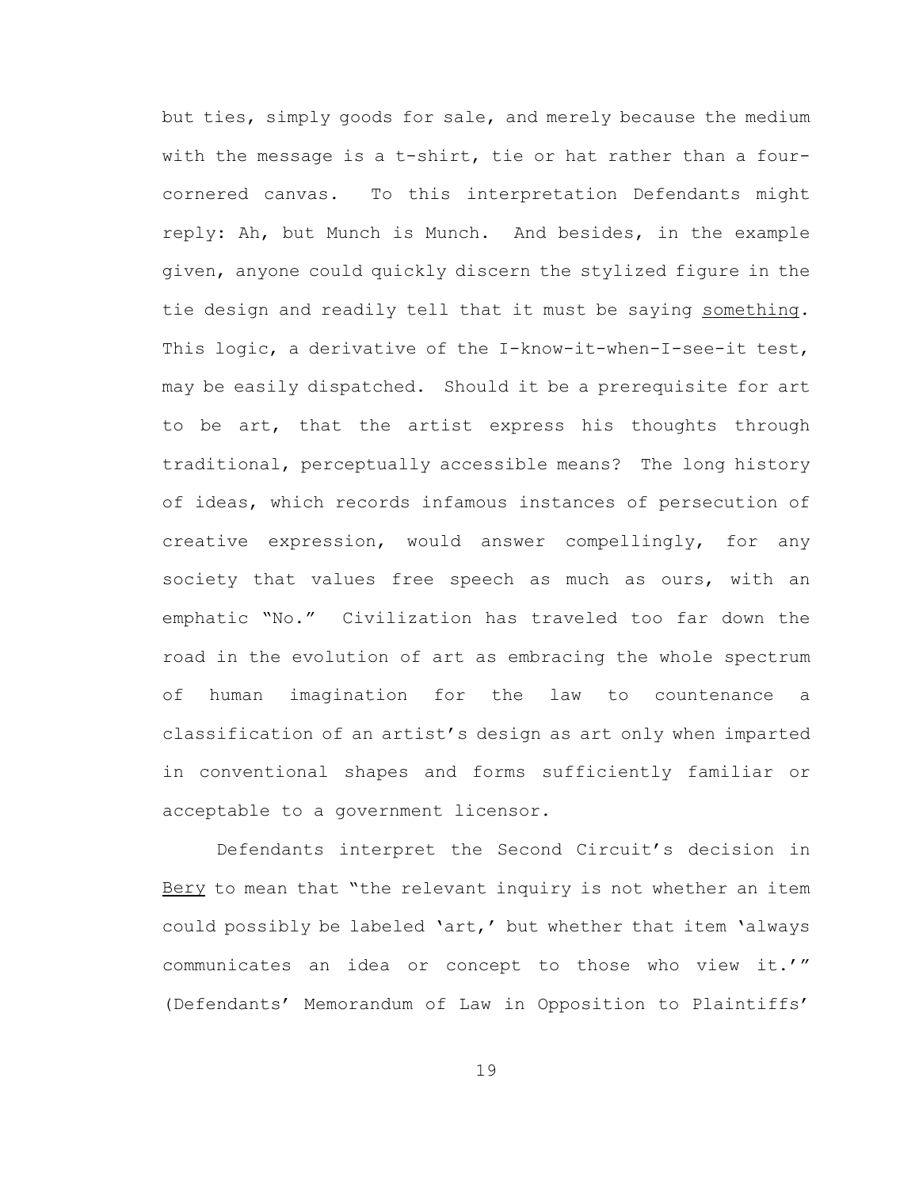but ties, simply goods for sale, and merely because the medium with the message is a t-shirt, tie or hat rather than a fourcornered canvas. To this interpretation Defendants might reply: Ah, but Munch is Munch. And besides, in the example given, anyone could quickly discern the stylized figure in the tie design and readily tell that it must be saying something. This logic, a derivative of the I-know-it-when-I-see-it test, may be easily dispatched. Should it be a prerequisite for art to be art, that the artist express his thoughts through traditional, perceptually accessible means? The long history of ideas, which records infamous instances of persecution of creative expression, would answer compellingly, for any society that values free speech as much as ours, with an emphatic "No." Civilization has traveled too far down the road in the evolution of art as embracing the whole spectrum of human imagination for the law to countenance a classification of an artist's design as art only when imparted in conventional shapes and forms sufficiently familiar or acceptable to a government licensor.

Defendants interpret the Second Circuit's decision in Bery to mean that "the relevant inquiry is not whether an item could possibly be labeled 'art,' but whether that item 'always communicates an idea or concept to those who view it.'" (Defendants' Memorandum of Law in Opposition to Plaintiffs'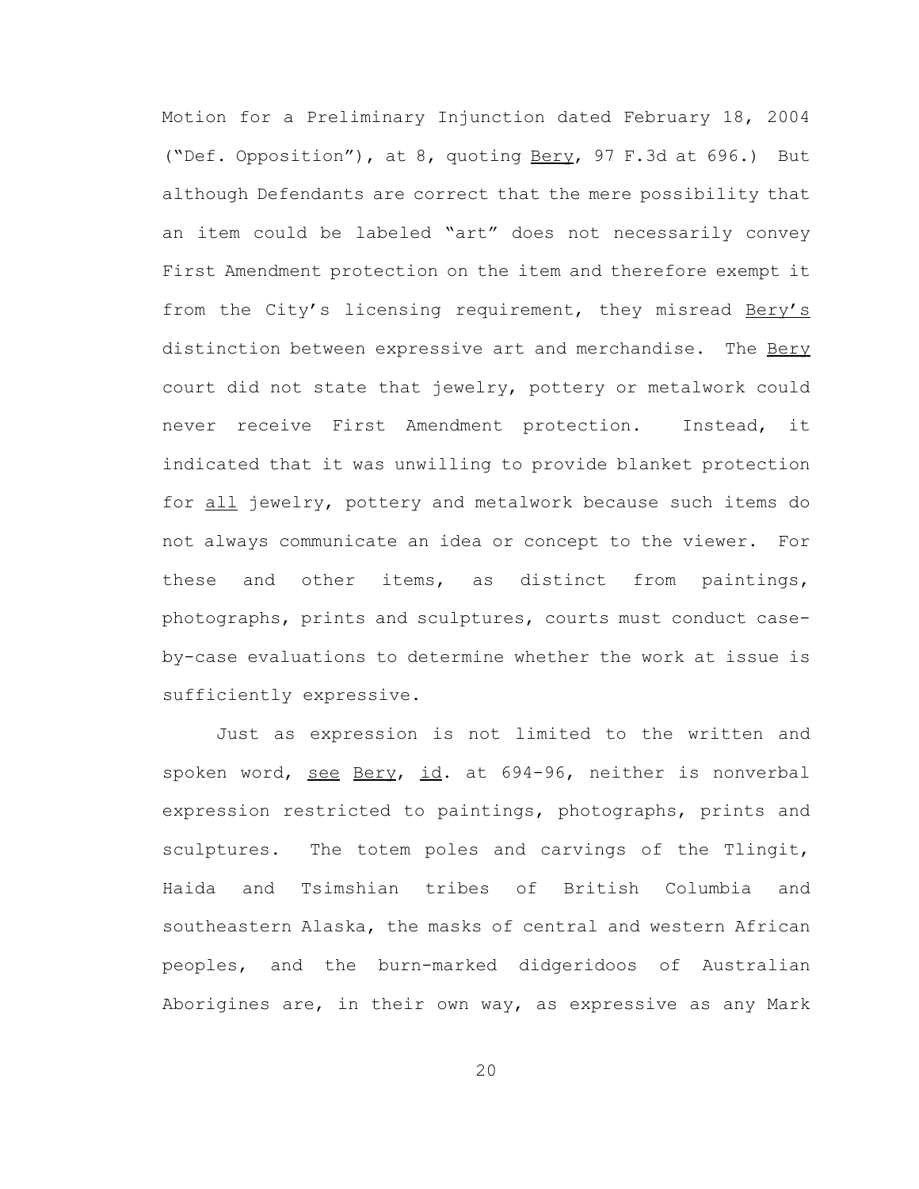Motion for a Preliminary Injunction dated February 18, 2004 ("Def. Opposition"), at 8, quoting Bery, 97 F.3d at 696.) But although Defendants are correct that the mere possibility that an item could be labeled "art" does not necessarily convey First Amendment protection on the item and therefore exempt it from the City's licensing requirement, they misread Bery's distinction between expressive art and merchandise. The Bery court did not state that jewelry, pottery or metalwork could never receive First Amendment protection. Instead, it indicated that it was unwilling to provide blanket protection for all jewelry, pottery and metalwork because such items do not always communicate an idea or concept to the viewer. For these and other items, as distinct from paintings, photographs, prints and sculptures, courts must conduct caseby-case evaluations to determine whether the work at issue is sufficiently expressive.

Just as expression is not limited to the written and spoken word, see Bery, id. at 694-96, neither is nonverbal expression restricted to paintings, photographs, prints and sculptures. The totem poles and carvings of the Tlingit, Haida and Tsimshian tribes of British Columbia and southeastern Alaska, the masks of central and western African peoples, and the burn-marked didgeridoos of Australian Aborigines are, in their own way, as expressive as any Mark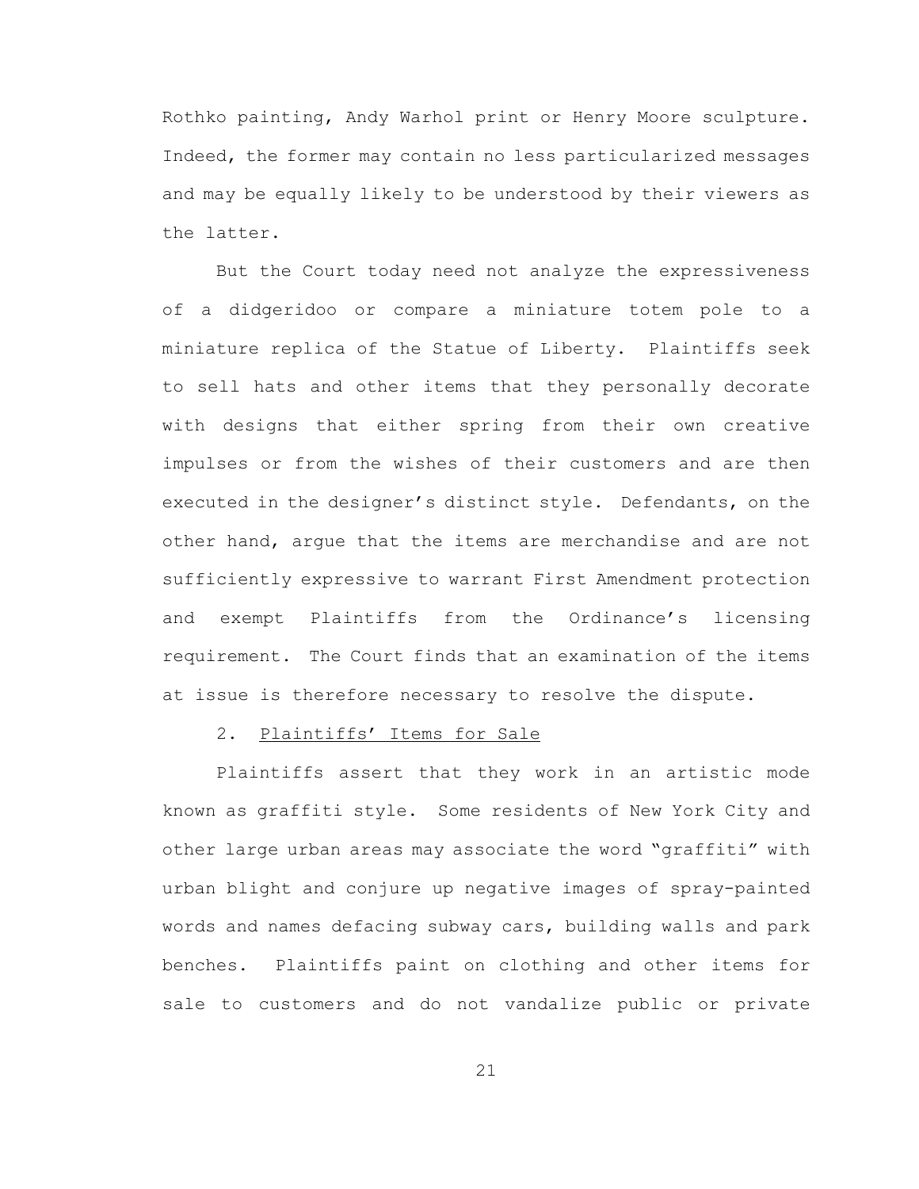Rothko painting, Andy Warhol print or Henry Moore sculpture. Indeed, the former may contain no less particularized messages and may be equally likely to be understood by their viewers as the latter.

But the Court today need not analyze the expressiveness of a didgeridoo or compare a miniature totem pole to a miniature replica of the Statue of Liberty. Plaintiffs seek to sell hats and other items that they personally decorate with designs that either spring from their own creative impulses or from the wishes of their customers and are then executed in the designer's distinct style. Defendants, on the other hand, argue that the items are merchandise and are not sufficiently expressive to warrant First Amendment protection and exempt Plaintiffs from the Ordinance's licensing requirement. The Court finds that an examination of the items at issue is therefore necessary to resolve the dispute.

## 2. Plaintiffs' Items for Sale

Plaintiffs assert that they work in an artistic mode known as graffiti style. Some residents of New York City and other large urban areas may associate the word "graffiti" with urban blight and conjure up negative images of spray-painted words and names defacing subway cars, building walls and park benches. Plaintiffs paint on clothing and other items for sale to customers and do not vandalize public or private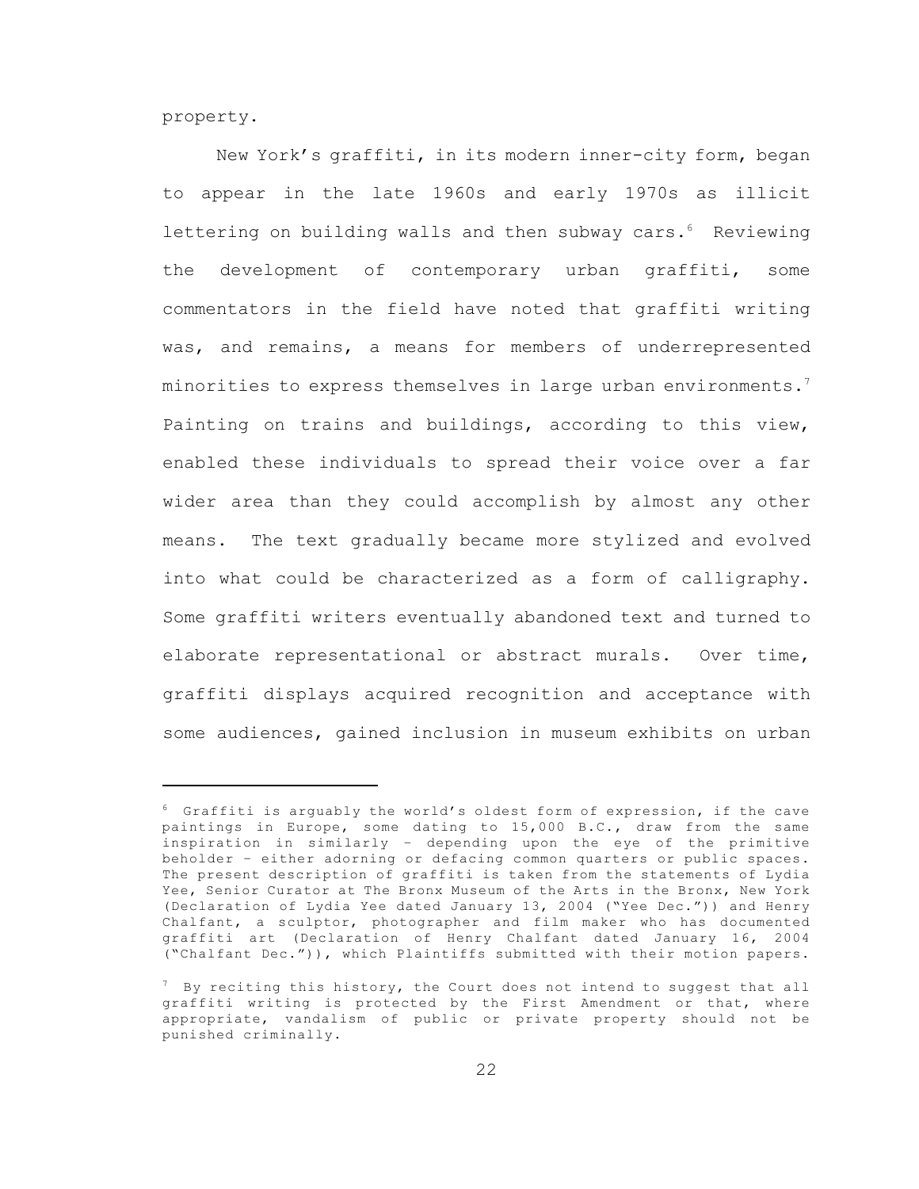property.

New York's graffiti, in its modern inner-city form, began to appear in the late 1960s and early 1970s as illicit lettering on building walls and then subway cars.<sup>6</sup> Reviewing the development of contemporary urban graffiti, some commentators in the field have noted that graffiti writing was, and remains, a means for members of underrepresented minorities to express themselves in large urban environments.<sup>7</sup> Painting on trains and buildings, according to this view, enabled these individuals to spread their voice over a far wider area than they could accomplish by almost any other means. The text gradually became more stylized and evolved into what could be characterized as a form of calligraphy. Some graffiti writers eventually abandoned text and turned to elaborate representational or abstract murals. Over time, graffiti displays acquired recognition and acceptance with some audiences, gained inclusion in museum exhibits on urban

 $6$  Graffiti is arguably the world's oldest form of expression, if the cave paintings in Europe, some dating to 15,000 B.C., draw from the same inspiration in similarly – depending upon the eye of the primitive beholder – either adorning or defacing common quarters or public spaces. The present description of graffiti is taken from the statements of Lydia Yee, Senior Curator at The Bronx Museum of the Arts in the Bronx, New York (Declaration of Lydia Yee dated January 13, 2004 ("Yee Dec.")) and Henry Chalfant, a sculptor, photographer and film maker who has documented graffiti art (Declaration of Henry Chalfant dated January 16, 2004 ("Chalfant Dec.")), which Plaintiffs submitted with their motion papers.

 $7$  By reciting this history, the Court does not intend to suggest that all graffiti writing is protected by the First Amendment or that, where appropriate, vandalism of public or private property should not be punished criminally.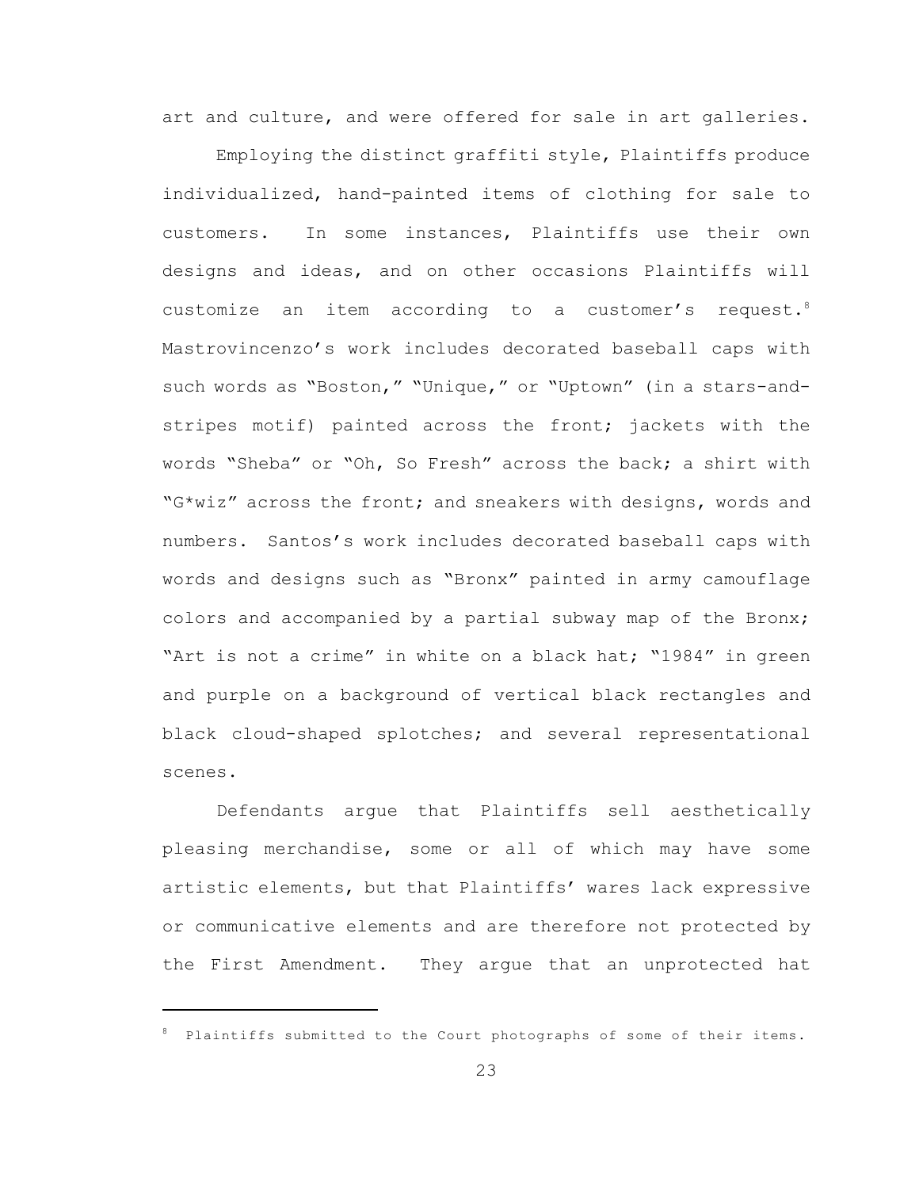art and culture, and were offered for sale in art galleries.

Employing the distinct graffiti style, Plaintiffs produce individualized, hand-painted items of clothing for sale to customers. In some instances, Plaintiffs use their own designs and ideas, and on other occasions Plaintiffs will customize an item according to a customer's request.<sup>8</sup> Mastrovincenzo's work includes decorated baseball caps with such words as "Boston," "Unique," or "Uptown" (in a stars-andstripes motif) painted across the front; jackets with the words "Sheba" or "Oh, So Fresh" across the back; a shirt with "G\*wiz" across the front; and sneakers with designs, words and numbers. Santos's work includes decorated baseball caps with words and designs such as "Bronx" painted in army camouflage colors and accompanied by a partial subway map of the Bronx; "Art is not a crime" in white on a black hat; "1984" in green and purple on a background of vertical black rectangles and black cloud-shaped splotches; and several representational scenes.

Defendants argue that Plaintiffs sell aesthetically pleasing merchandise, some or all of which may have some artistic elements, but that Plaintiffs' wares lack expressive or communicative elements and are therefore not protected by the First Amendment. They argue that an unprotected hat

<sup>8</sup> Plaintiffs submitted to the Court photographs of some of their items.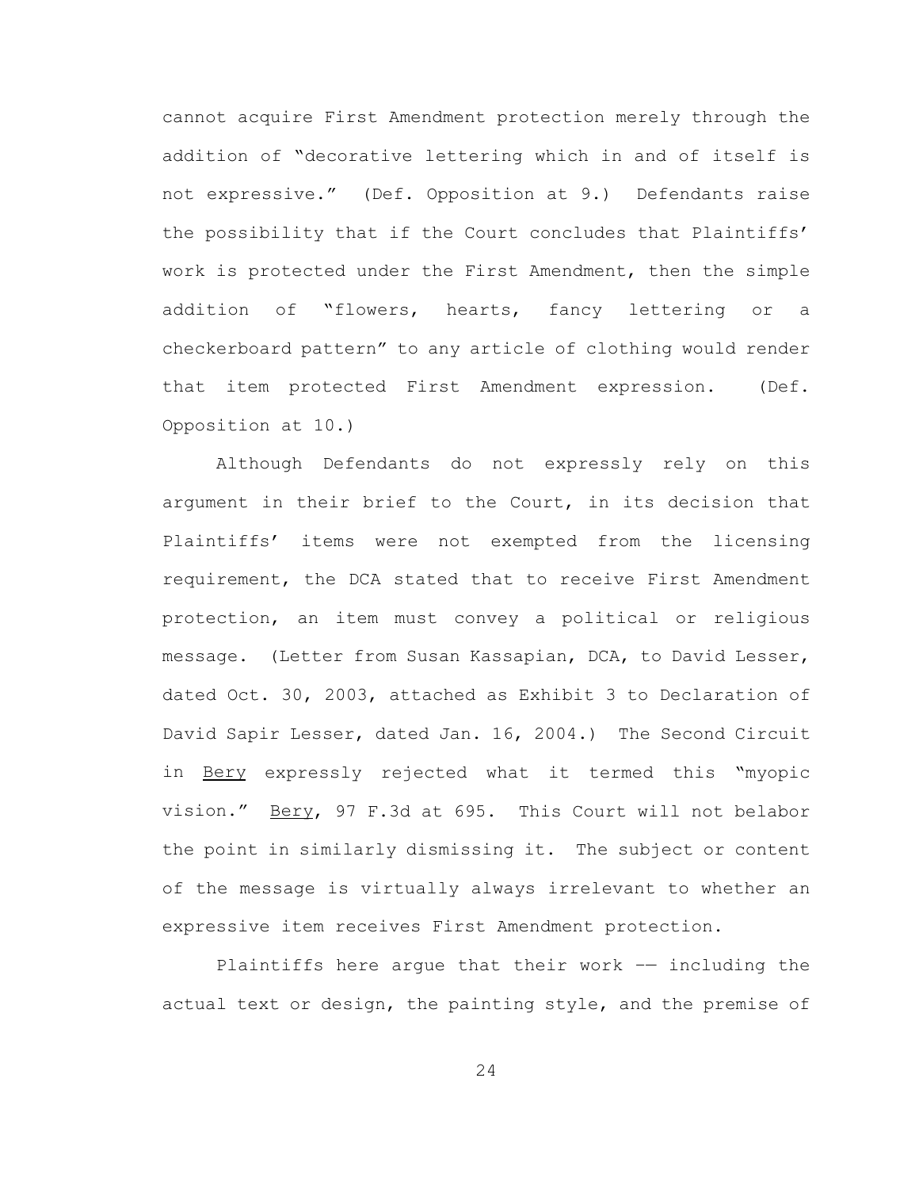cannot acquire First Amendment protection merely through the addition of "decorative lettering which in and of itself is not expressive." (Def. Opposition at 9.) Defendants raise the possibility that if the Court concludes that Plaintiffs' work is protected under the First Amendment, then the simple addition of "flowers, hearts, fancy lettering or a checkerboard pattern" to any article of clothing would render that item protected First Amendment expression. (Def. Opposition at 10.)

Although Defendants do not expressly rely on this argument in their brief to the Court, in its decision that Plaintiffs' items were not exempted from the licensing requirement, the DCA stated that to receive First Amendment protection, an item must convey a political or religious message. (Letter from Susan Kassapian, DCA, to David Lesser, dated Oct. 30, 2003, attached as Exhibit 3 to Declaration of David Sapir Lesser, dated Jan. 16, 2004.) The Second Circuit in Bery expressly rejected what it termed this "myopic vision." Bery, 97 F.3d at 695. This Court will not belabor the point in similarly dismissing it. The subject or content of the message is virtually always irrelevant to whether an expressive item receives First Amendment protection.

Plaintiffs here argue that their work –— including the actual text or design, the painting style, and the premise of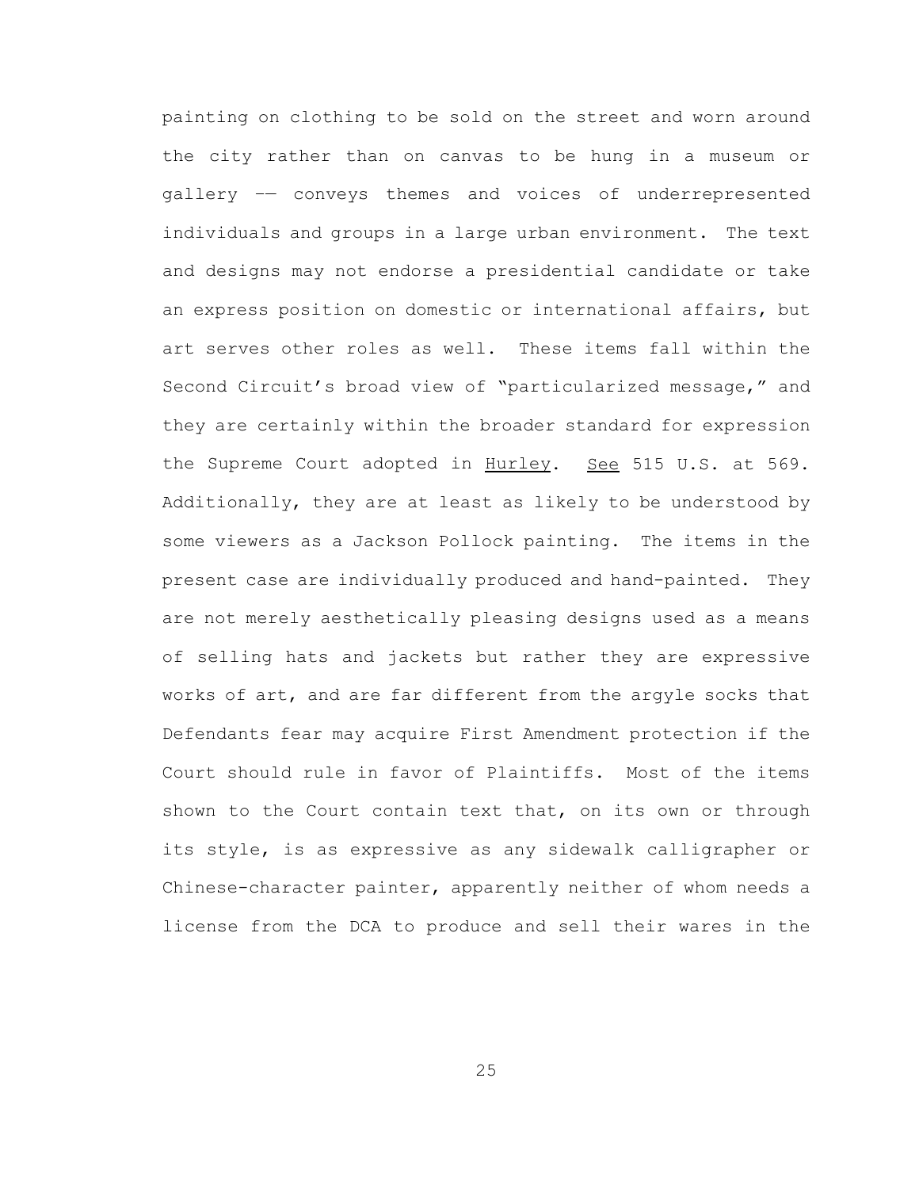painting on clothing to be sold on the street and worn around the city rather than on canvas to be hung in a museum or gallery –— conveys themes and voices of underrepresented individuals and groups in a large urban environment. The text and designs may not endorse a presidential candidate or take an express position on domestic or international affairs, but art serves other roles as well. These items fall within the Second Circuit's broad view of "particularized message," and they are certainly within the broader standard for expression the Supreme Court adopted in Hurley. See 515 U.S. at 569. Additionally, they are at least as likely to be understood by some viewers as a Jackson Pollock painting. The items in the present case are individually produced and hand-painted. They are not merely aesthetically pleasing designs used as a means of selling hats and jackets but rather they are expressive works of art, and are far different from the argyle socks that Defendants fear may acquire First Amendment protection if the Court should rule in favor of Plaintiffs. Most of the items shown to the Court contain text that, on its own or through its style, is as expressive as any sidewalk calligrapher or Chinese-character painter, apparently neither of whom needs a license from the DCA to produce and sell their wares in the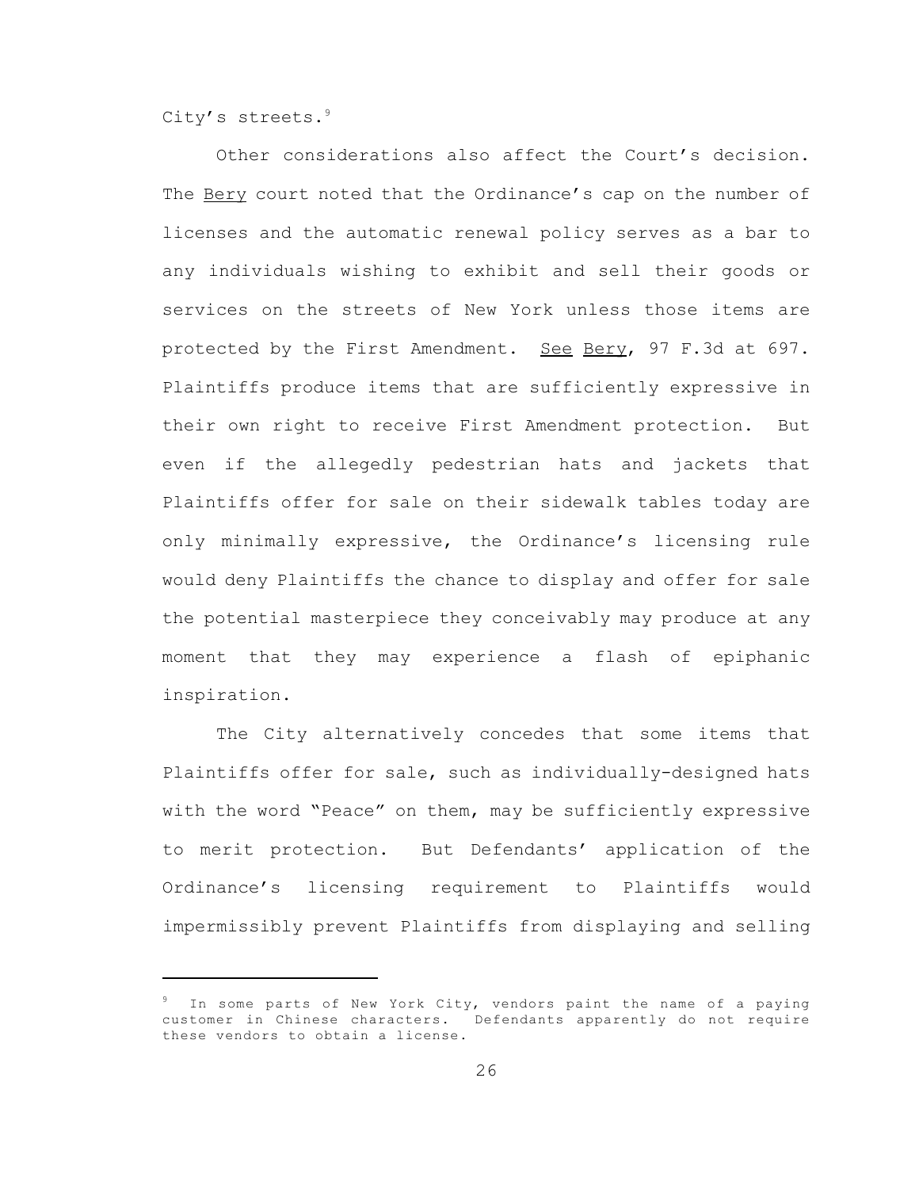City's streets.<sup>9</sup>

Other considerations also affect the Court's decision. The Bery court noted that the Ordinance's cap on the number of licenses and the automatic renewal policy serves as a bar to any individuals wishing to exhibit and sell their goods or services on the streets of New York unless those items are protected by the First Amendment. See Bery, 97 F.3d at 697. Plaintiffs produce items that are sufficiently expressive in their own right to receive First Amendment protection. But even if the allegedly pedestrian hats and jackets that Plaintiffs offer for sale on their sidewalk tables today are only minimally expressive, the Ordinance's licensing rule would deny Plaintiffs the chance to display and offer for sale the potential masterpiece they conceivably may produce at any moment that they may experience a flash of epiphanic inspiration.

The City alternatively concedes that some items that Plaintiffs offer for sale, such as individually-designed hats with the word "Peace" on them, may be sufficiently expressive to merit protection. But Defendants' application of the Ordinance's licensing requirement to Plaintiffs would impermissibly prevent Plaintiffs from displaying and selling

<sup>&</sup>lt;sup>9</sup> In some parts of New York City, vendors paint the name of a paying customer in Chinese characters. Defendants apparently do not require these vendors to obtain a license.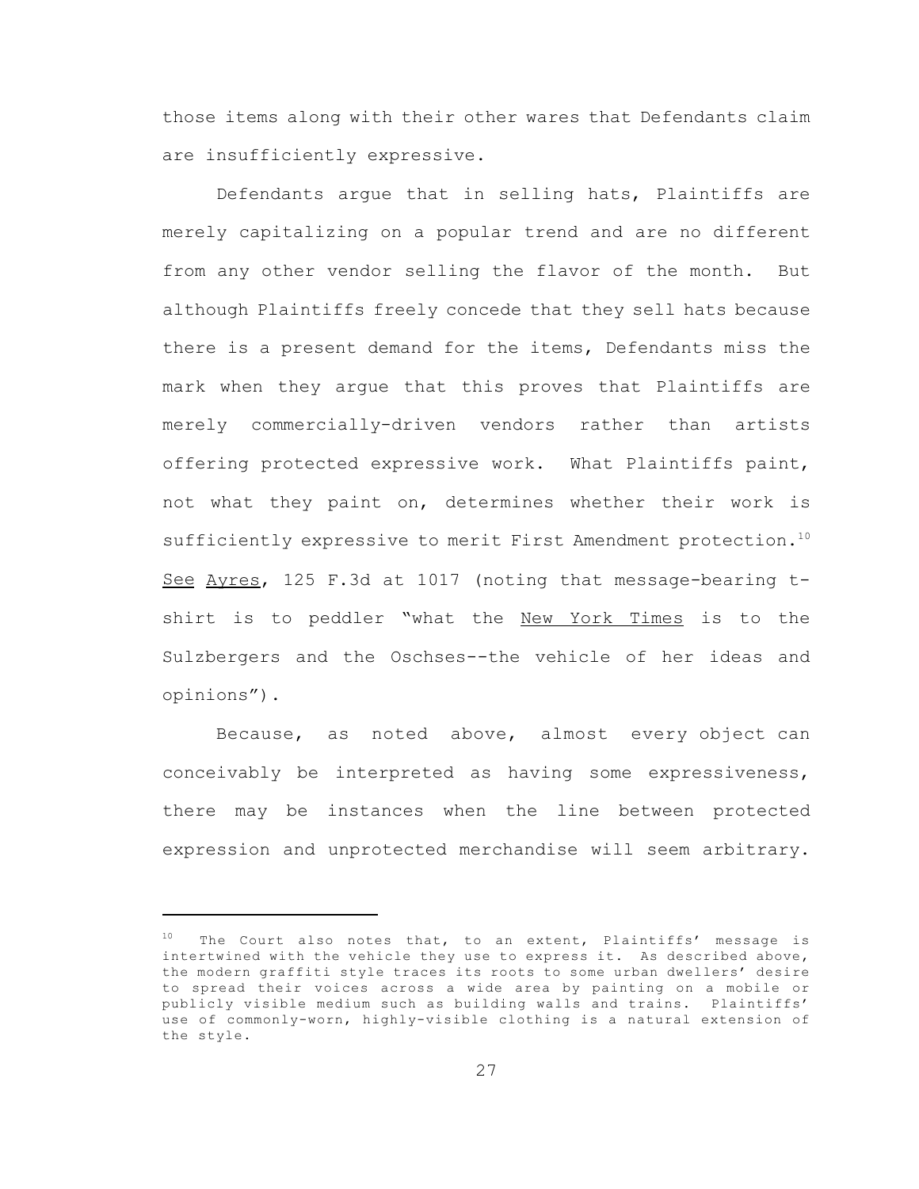those items along with their other wares that Defendants claim are insufficiently expressive.

Defendants argue that in selling hats, Plaintiffs are merely capitalizing on a popular trend and are no different from any other vendor selling the flavor of the month. But although Plaintiffs freely concede that they sell hats because there is a present demand for the items, Defendants miss the mark when they argue that this proves that Plaintiffs are merely commercially-driven vendors rather than artists offering protected expressive work. What Plaintiffs paint, not what they paint on, determines whether their work is sufficiently expressive to merit First Amendment protection.<sup>10</sup> See Ayres, 125 F.3d at 1017 (noting that message-bearing tshirt is to peddler "what the New York Times is to the Sulzbergers and the Oschses--the vehicle of her ideas and opinions").

 Because, as noted above, almost every object can conceivably be interpreted as having some expressiveness, there may be instances when the line between protected expression and unprotected merchandise will seem arbitrary.

 $10$  The Court also notes that, to an extent, Plaintiffs' message is intertwined with the vehicle they use to express it. As described above, the modern graffiti style traces its roots to some urban dwellers' desire to spread their voices across a wide area by painting on a mobile or publicly visible medium such as building walls and trains. Plaintiffs' use of commonly-worn, highly-visible clothing is a natural extension of the style.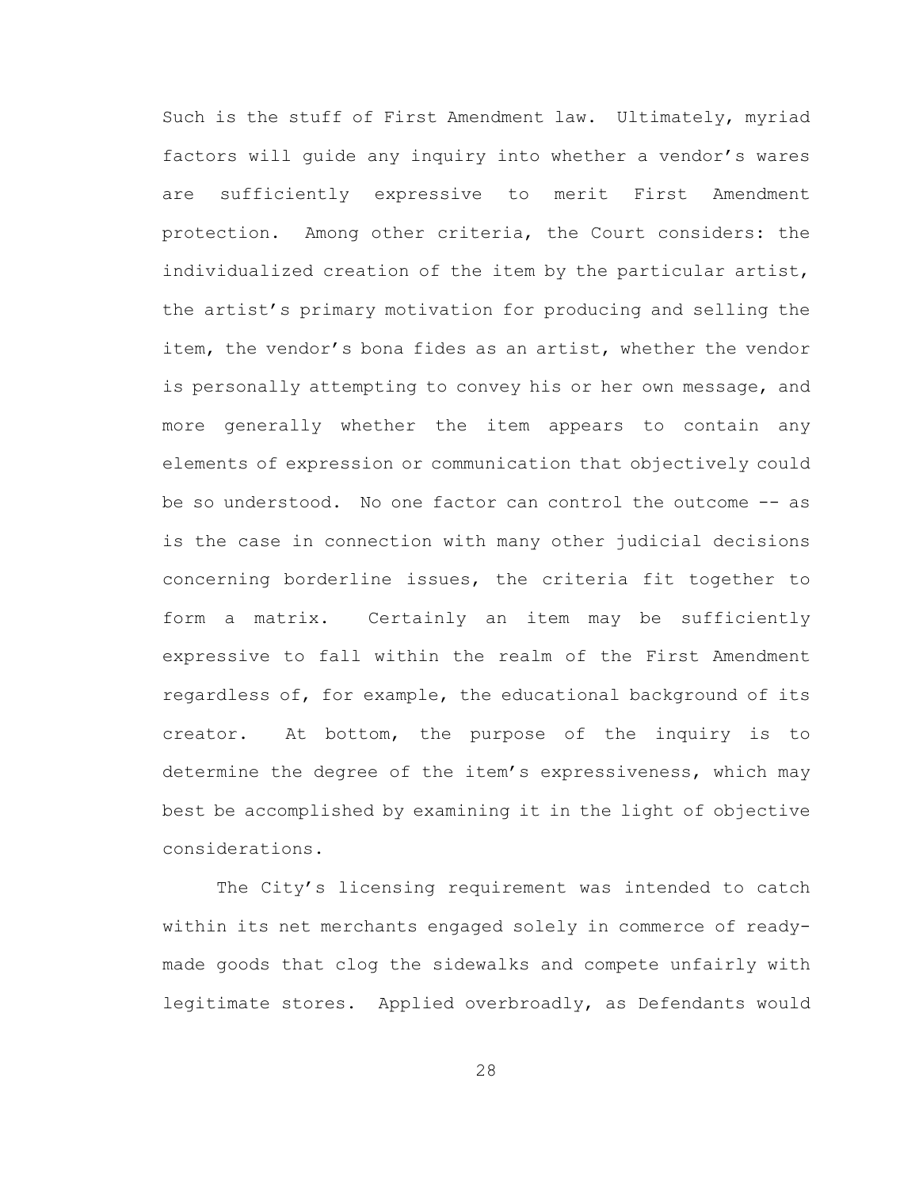Such is the stuff of First Amendment law. Ultimately, myriad factors will guide any inquiry into whether a vendor's wares are sufficiently expressive to merit First Amendment protection. Among other criteria, the Court considers: the individualized creation of the item by the particular artist, the artist's primary motivation for producing and selling the item, the vendor's bona fides as an artist, whether the vendor is personally attempting to convey his or her own message, and more generally whether the item appears to contain any elements of expression or communication that objectively could be so understood. No one factor can control the outcome -- as is the case in connection with many other judicial decisions concerning borderline issues, the criteria fit together to form a matrix. Certainly an item may be sufficiently expressive to fall within the realm of the First Amendment regardless of, for example, the educational background of its creator. At bottom, the purpose of the inquiry is to determine the degree of the item's expressiveness, which may best be accomplished by examining it in the light of objective considerations.

The City's licensing requirement was intended to catch within its net merchants engaged solely in commerce of readymade goods that clog the sidewalks and compete unfairly with legitimate stores. Applied overbroadly, as Defendants would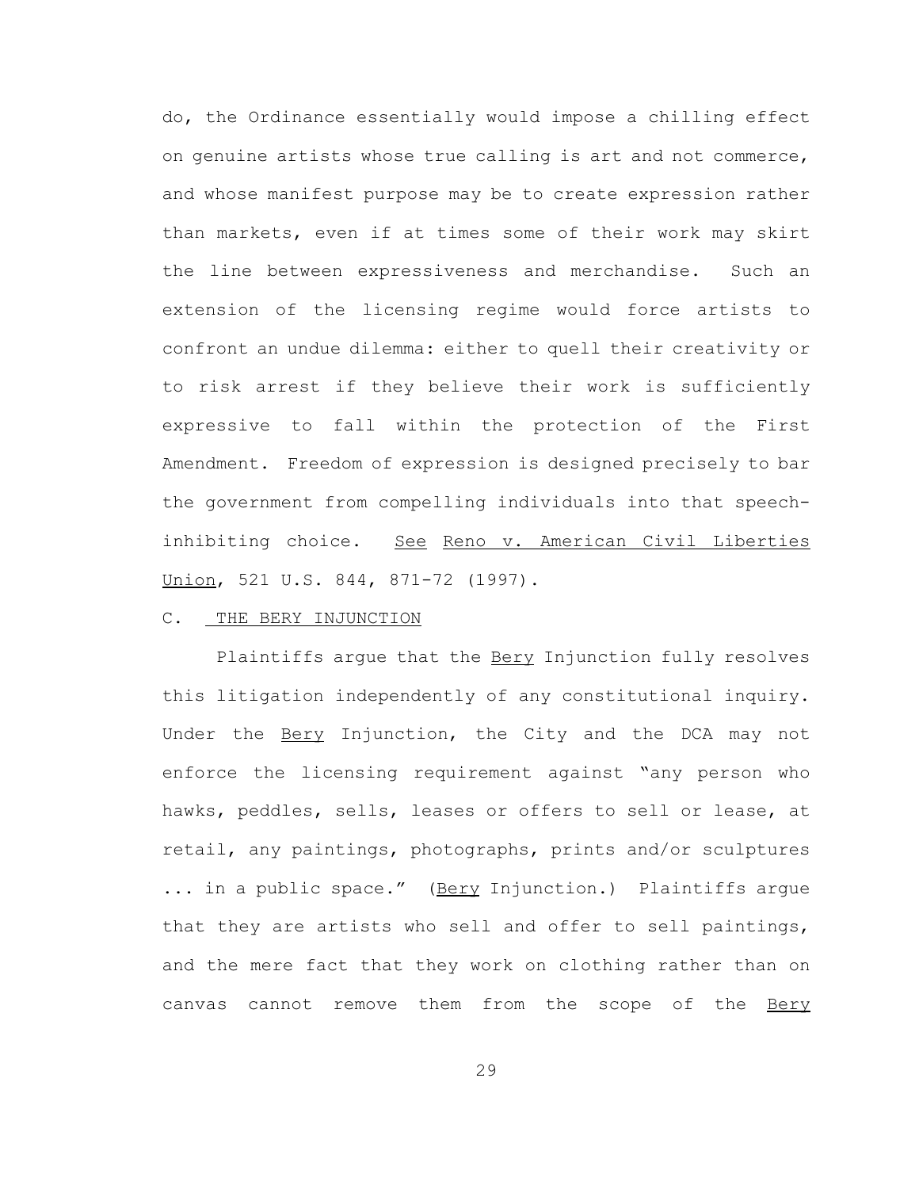do, the Ordinance essentially would impose a chilling effect on genuine artists whose true calling is art and not commerce, and whose manifest purpose may be to create expression rather than markets, even if at times some of their work may skirt the line between expressiveness and merchandise. Such an extension of the licensing regime would force artists to confront an undue dilemma: either to quell their creativity or to risk arrest if they believe their work is sufficiently expressive to fall within the protection of the First Amendment. Freedom of expression is designed precisely to bar the government from compelling individuals into that speechinhibiting choice. See Reno v. American Civil Liberties Union, 521 U.S. 844, 871-72 (1997).

## C. THE BERY INJUNCTION

Plaintiffs argue that the **Bery Injunction fully resolves** this litigation independently of any constitutional inquiry. Under the Bery Injunction, the City and the DCA may not enforce the licensing requirement against "any person who hawks, peddles, sells, leases or offers to sell or lease, at retail, any paintings, photographs, prints and/or sculptures ... in a public space." (Bery Injunction.) Plaintiffs argue that they are artists who sell and offer to sell paintings, and the mere fact that they work on clothing rather than on canvas cannot remove them from the scope of the Bery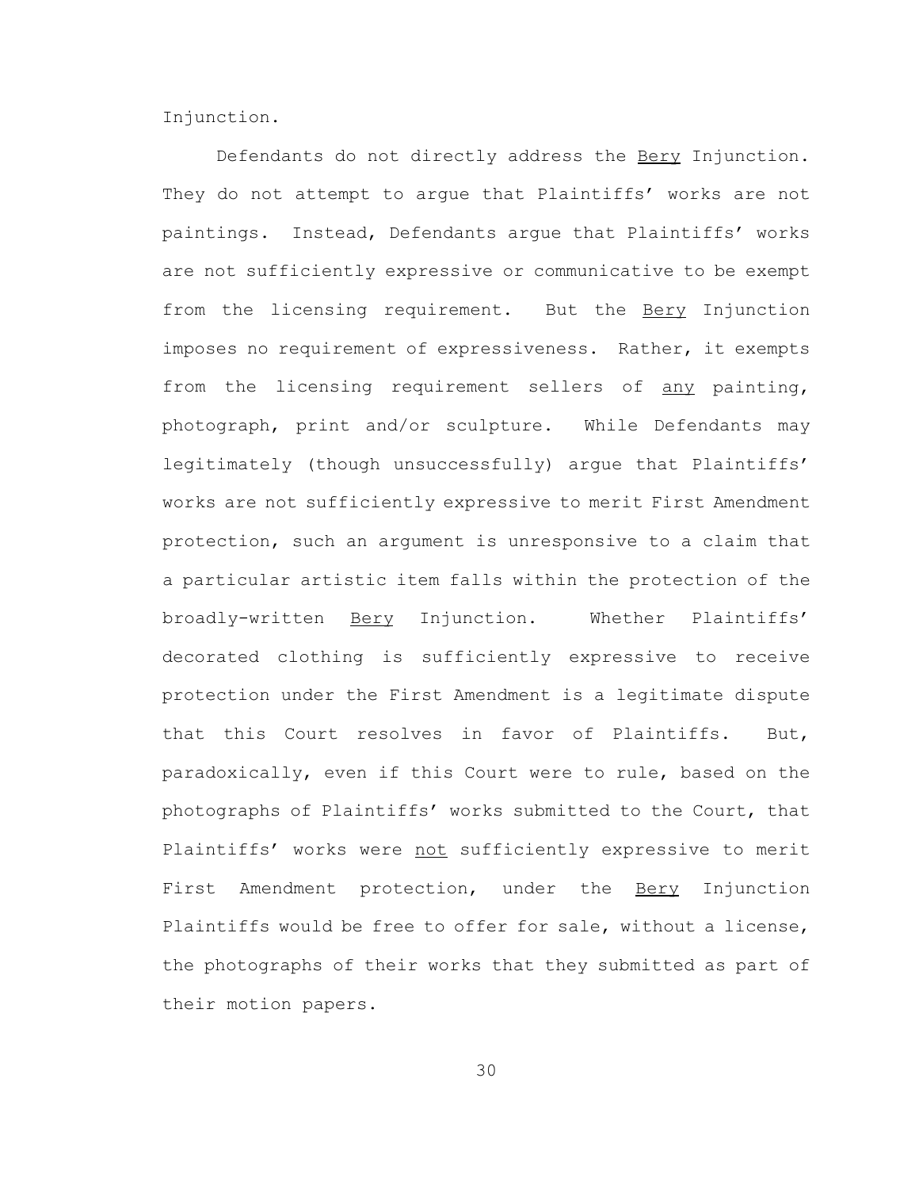Injunction.

Defendants do not directly address the Bery Injunction. They do not attempt to arque that Plaintiffs' works are not paintings. Instead, Defendants argue that Plaintiffs' works are not sufficiently expressive or communicative to be exempt from the licensing requirement. But the Bery Injunction imposes no requirement of expressiveness. Rather, it exempts from the licensing requirement sellers of any painting, photograph, print and/or sculpture. While Defendants may legitimately (though unsuccessfully) argue that Plaintiffs' works are not sufficiently expressive to merit First Amendment protection, such an argument is unresponsive to a claim that a particular artistic item falls within the protection of the broadly-written Bery Injunction. Whether Plaintiffs' decorated clothing is sufficiently expressive to receive protection under the First Amendment is a legitimate dispute that this Court resolves in favor of Plaintiffs. But, paradoxically, even if this Court were to rule, based on the photographs of Plaintiffs' works submitted to the Court, that Plaintiffs' works were not sufficiently expressive to merit First Amendment protection, under the Bery Injunction Plaintiffs would be free to offer for sale, without a license, the photographs of their works that they submitted as part of their motion papers.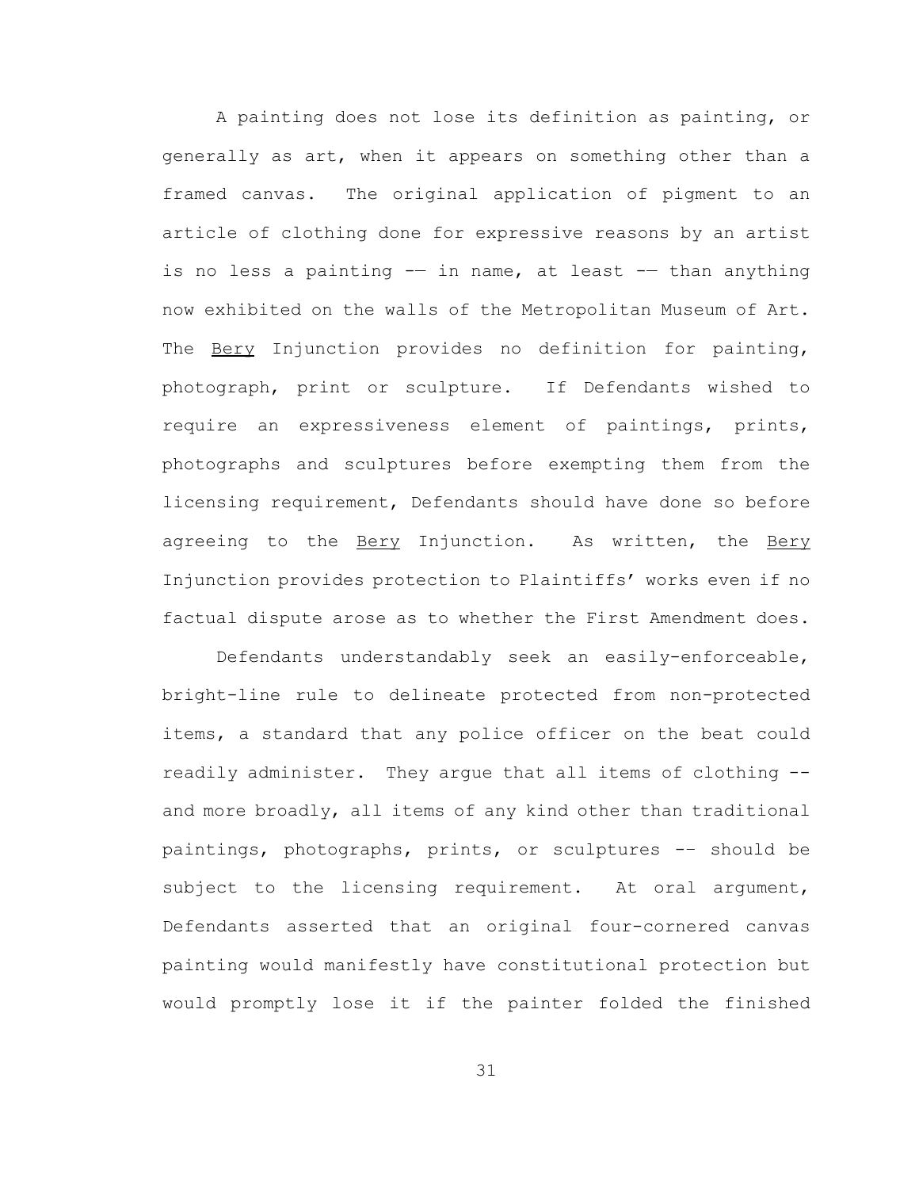A painting does not lose its definition as painting, or generally as art, when it appears on something other than a framed canvas. The original application of pigment to an article of clothing done for expressive reasons by an artist is no less a painting -- in name, at least -- than anything now exhibited on the walls of the Metropolitan Museum of Art. The **Bery** Injunction provides no definition for painting, photograph, print or sculpture. If Defendants wished to require an expressiveness element of paintings, prints, photographs and sculptures before exempting them from the licensing requirement, Defendants should have done so before agreeing to the Bery Injunction. As written, the Bery Injunction provides protection to Plaintiffs' works even if no factual dispute arose as to whether the First Amendment does.

Defendants understandably seek an easily-enforceable, bright-line rule to delineate protected from non-protected items, a standard that any police officer on the beat could readily administer. They argue that all items of clothing - and more broadly, all items of any kind other than traditional paintings, photographs, prints, or sculptures -– should be subject to the licensing requirement. At oral argument, Defendants asserted that an original four-cornered canvas painting would manifestly have constitutional protection but would promptly lose it if the painter folded the finished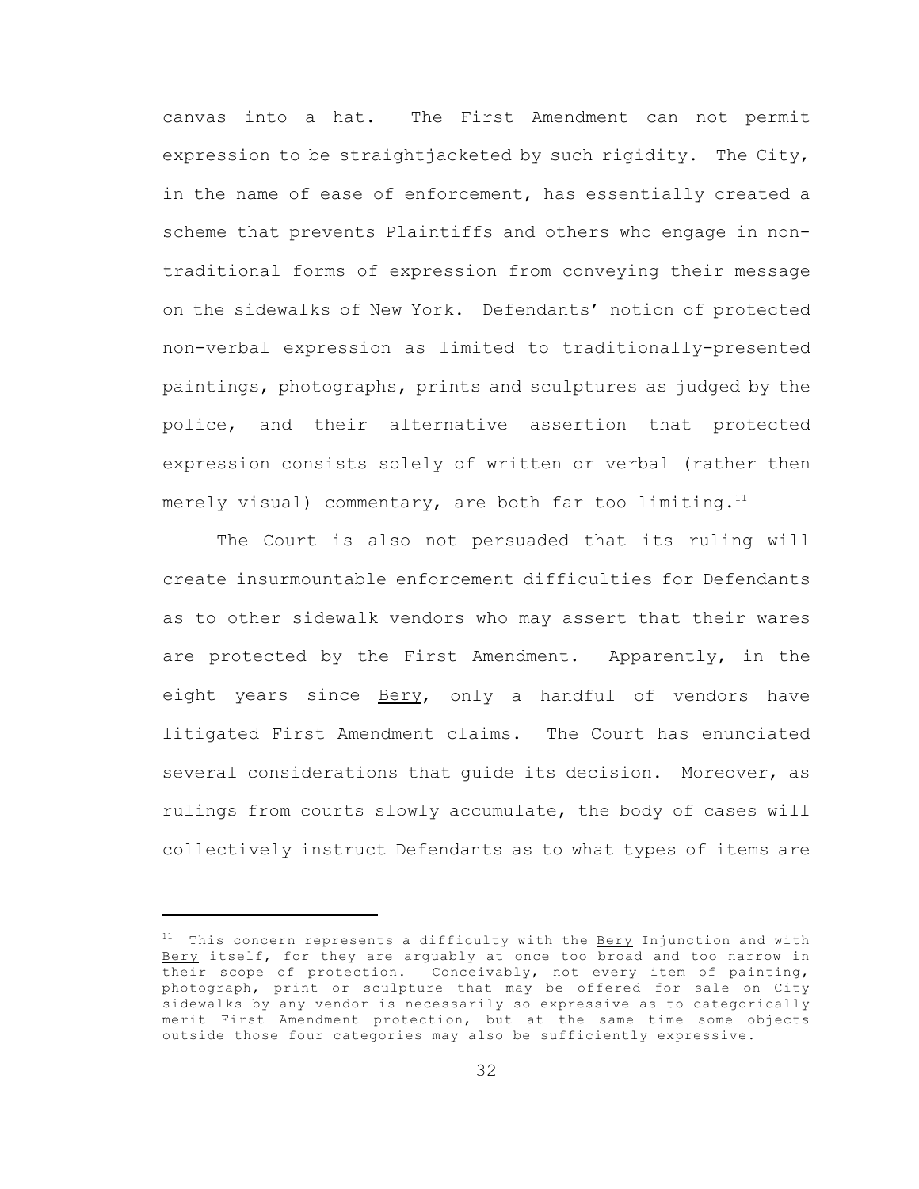canvas into a hat. The First Amendment can not permit expression to be straightjacketed by such rigidity. The City, in the name of ease of enforcement, has essentially created a scheme that prevents Plaintiffs and others who engage in nontraditional forms of expression from conveying their message on the sidewalks of New York. Defendants' notion of protected non-verbal expression as limited to traditionally-presented paintings, photographs, prints and sculptures as judged by the police, and their alternative assertion that protected expression consists solely of written or verbal (rather then merely visual) commentary, are both far too limiting. $11$ 

The Court is also not persuaded that its ruling will create insurmountable enforcement difficulties for Defendants as to other sidewalk vendors who may assert that their wares are protected by the First Amendment. Apparently, in the eight years since Bery, only a handful of vendors have litigated First Amendment claims. The Court has enunciated several considerations that guide its decision. Moreover, as rulings from courts slowly accumulate, the body of cases will collectively instruct Defendants as to what types of items are

 $11$  This concern represents a difficulty with the Bery Injunction and with Bery itself, for they are arguably at once too broad and too narrow in their scope of protection. Conceivably, not every item of painting, photograph, print or sculpture that may be offered for sale on City sidewalks by any vendor is necessarily so expressive as to categorically merit First Amendment protection, but at the same time some objects outside those four categories may also be sufficiently expressive.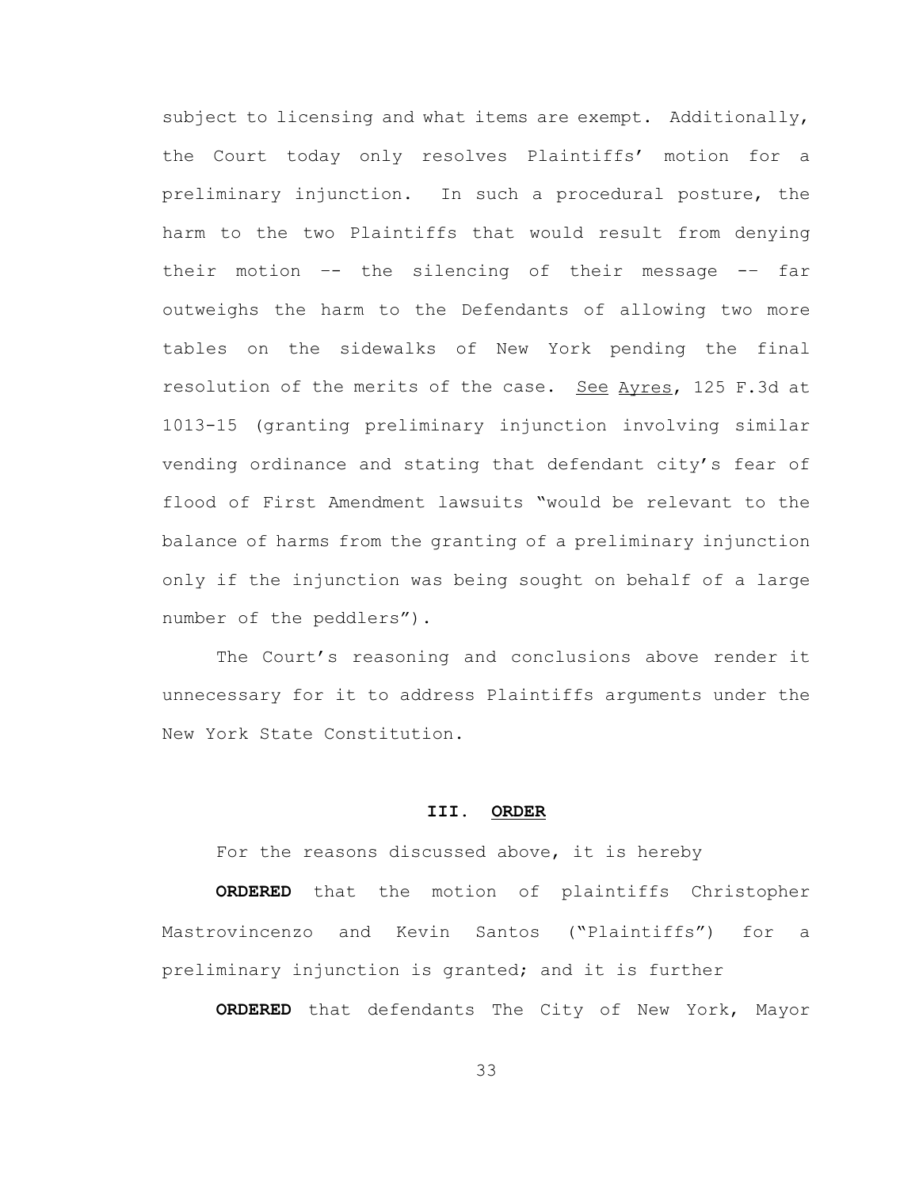subject to licensing and what items are exempt. Additionally, the Court today only resolves Plaintiffs' motion for a preliminary injunction. In such a procedural posture, the harm to the two Plaintiffs that would result from denying their motion –- the silencing of their message -– far outweighs the harm to the Defendants of allowing two more tables on the sidewalks of New York pending the final resolution of the merits of the case. See Ayres, 125 F.3d at 1013-15 (granting preliminary injunction involving similar vending ordinance and stating that defendant city's fear of flood of First Amendment lawsuits "would be relevant to the balance of harms from the granting of a preliminary injunction only if the injunction was being sought on behalf of a large number of the peddlers").

The Court's reasoning and conclusions above render it unnecessary for it to address Plaintiffs arguments under the New York State Constitution.

#### **III. ORDER**

For the reasons discussed above, it is hereby

**ORDERED** that the motion of plaintiffs Christopher Mastrovincenzo and Kevin Santos ("Plaintiffs") for a preliminary injunction is granted; and it is further

**ORDERED** that defendants The City of New York, Mayor